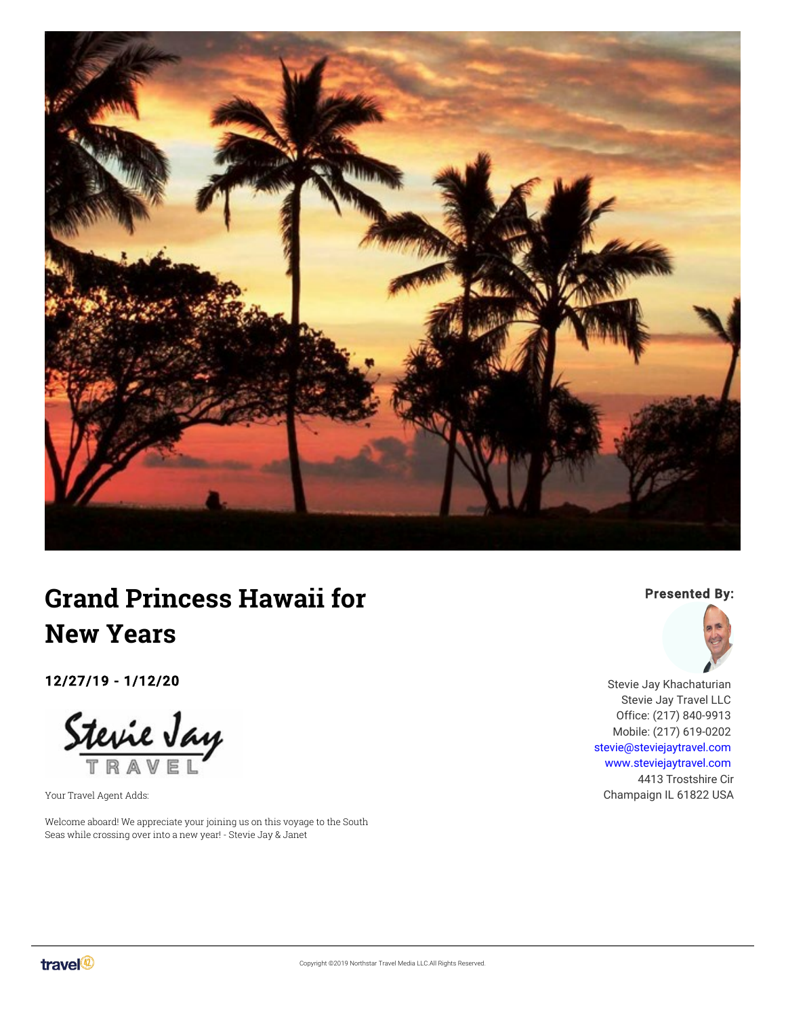

# **Grand Princess Hawaii for New Years**

12/27/19 - 1/12/20

Stevie Jay

Your Travel Agent Adds:

Welcome aboard! We appreciate your joining us on this voyage to the South Seas while crossing over into a new year! - Stevie Jay & Janet

#### Presented By:



Stevie Jay Khachaturian Stevie Jay Travel LLC Office: (217) 840-9913 Mobile: (217) 619-0202 [stevie@steviejaytravel.com](mailto:stevie@steviejaytravel.com) [www.steviejaytravel.com](http://www.steviejaytravel.com) 4413 Trostshire Cir Champaign IL 61822 USA

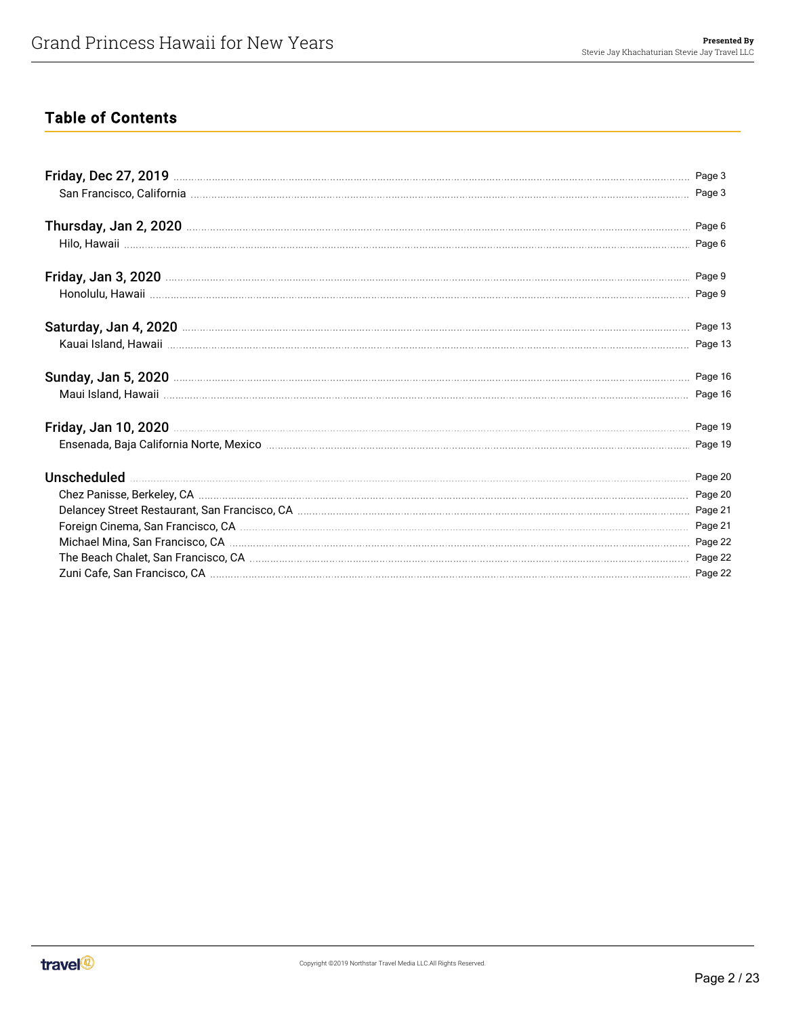# Table of Contents

|                                                                                                                | Page 16 |
|----------------------------------------------------------------------------------------------------------------|---------|
| Ensenada, Baja California Norte, Mexico matematica memberitana per seriali per seriali per seriali per seriali |         |
|                                                                                                                |         |
|                                                                                                                |         |
|                                                                                                                |         |
|                                                                                                                |         |
|                                                                                                                |         |
|                                                                                                                |         |
|                                                                                                                |         |

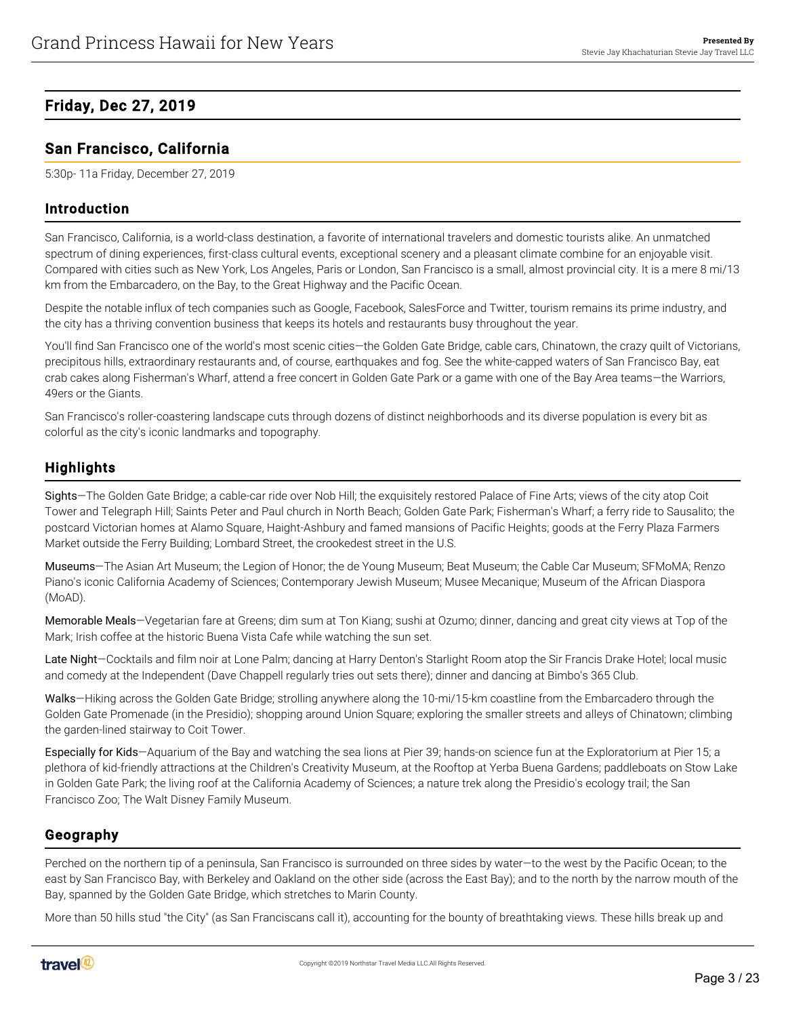# <span id="page-2-0"></span>Friday, Dec 27, 2019

## <span id="page-2-1"></span>San Francisco, California

5:30p- 11a Friday, December 27, 2019

#### Introduction

San Francisco, California, is a world-class destination, a favorite of international travelers and domestic tourists alike. An unmatched spectrum of dining experiences, first-class cultural events, exceptional scenery and a pleasant climate combine for an enjoyable visit. Compared with cities such as New York, Los Angeles, Paris or London, San Francisco is a small, almost provincial city. It is a mere 8 mi/13 km from the Embarcadero, on the Bay, to the Great Highway and the Pacific Ocean.

Despite the notable influx of tech companies such as Google, Facebook, SalesForce and Twitter, tourism remains its prime industry, and the city has a thriving convention business that keeps its hotels and restaurants busy throughout the year.

You'll find San Francisco one of the world's most scenic cities—the Golden Gate Bridge, cable cars, Chinatown, the crazy quilt of Victorians, precipitous hills, extraordinary restaurants and, of course, earthquakes and fog. See the white-capped waters of San Francisco Bay, eat crab cakes along Fisherman's Wharf, attend a free concert in Golden Gate Park or a game with one of the Bay Area teams—the Warriors, 49ers or the Giants.

San Francisco's roller-coastering landscape cuts through dozens of distinct neighborhoods and its diverse population is every bit as colorful as the city's iconic landmarks and topography.

# **Highlights**

Sights—The Golden Gate Bridge; a cable-car ride over Nob Hill; the exquisitely restored Palace of Fine Arts; views of the city atop Coit Tower and Telegraph Hill; Saints Peter and Paul church in North Beach; Golden Gate Park; Fisherman's Wharf; a ferry ride to Sausalito; the postcard Victorian homes at Alamo Square, Haight-Ashbury and famed mansions of Pacific Heights; goods at the Ferry Plaza Farmers Market outside the Ferry Building; Lombard Street, the crookedest street in the U.S.

Museums—The Asian Art Museum; the Legion of Honor; the de Young Museum; Beat Museum; the Cable Car Museum; SFMoMA; Renzo Piano's iconic California Academy of Sciences; Contemporary Jewish Museum; Musee Mecanique; Museum of the African Diaspora (MoAD).

Memorable Meals—Vegetarian fare at Greens; dim sum at Ton Kiang; sushi at Ozumo; dinner, dancing and great city views at Top of the Mark; Irish coffee at the historic Buena Vista Cafe while watching the sun set.

Late Night–Cocktails and film noir at Lone Palm; dancing at Harry Denton's Starlight Room atop the Sir Francis Drake Hotel; local music and comedy at the Independent (Dave Chappell regularly tries out sets there); dinner and dancing at Bimbo's 365 Club.

Walks—Hiking across the Golden Gate Bridge; strolling anywhere along the 10-mi/15-km coastline from the Embarcadero through the Golden Gate Promenade (in the Presidio); shopping around Union Square; exploring the smaller streets and alleys of Chinatown; climbing the garden-lined stairway to Coit Tower.

Especially for Kids—Aquarium of the Bay and watching the sea lions at Pier 39; hands-on science fun at the Exploratorium at Pier 15; a plethora of kid-friendly attractions at the Children's Creativity Museum, at the Rooftop at Yerba Buena Gardens; paddleboats on Stow Lake in Golden Gate Park; the living roof at the California Academy of Sciences; a nature trek along the Presidio's ecology trail; the San Francisco Zoo; The Walt Disney Family Museum.

## Geography

Perched on the northern tip of a peninsula, San Francisco is surrounded on three sides by water—to the west by the Pacific Ocean; to the east by San Francisco Bay, with Berkeley and Oakland on the other side (across the East Bay); and to the north by the narrow mouth of the Bay, spanned by the Golden Gate Bridge, which stretches to Marin County.

More than 50 hills stud "the City" (as San Franciscans call it), accounting for the bounty of breathtaking views. These hills break up and

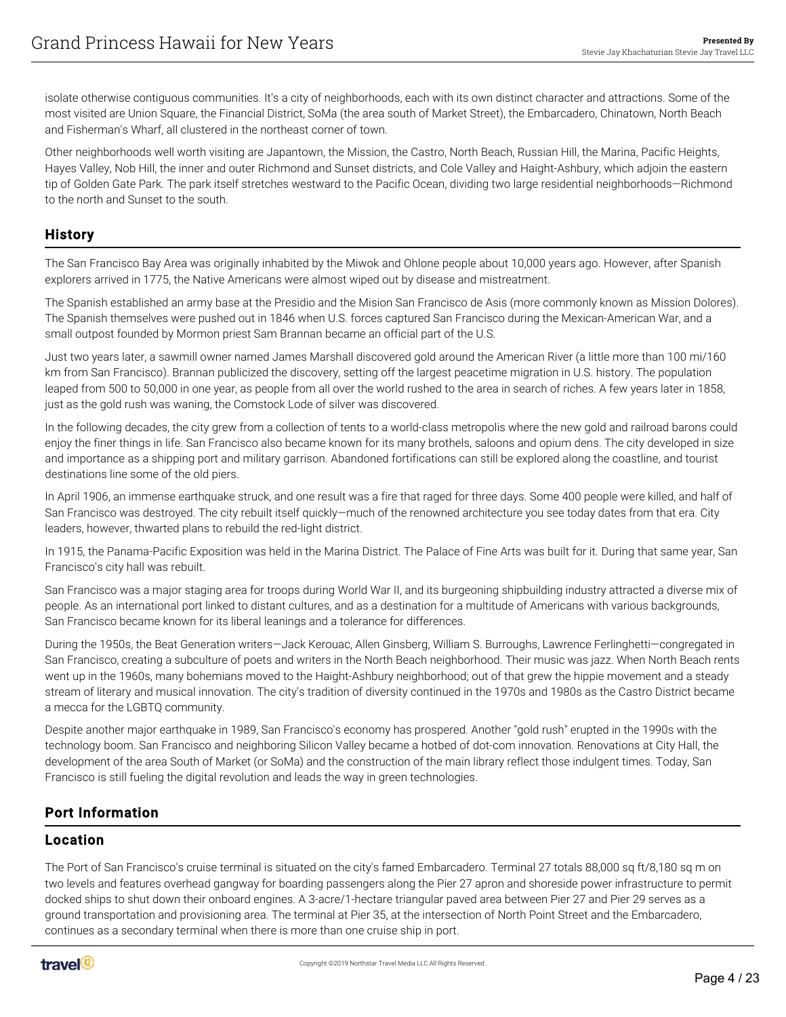isolate otherwise contiguous communities. It's a city of neighborhoods, each with its own distinct character and attractions. Some of the most visited are Union Square, the Financial District, SoMa (the area south of Market Street), the Embarcadero, Chinatown, North Beach and Fisherman's Wharf, all clustered in the northeast corner of town.

Other neighborhoods well worth visiting are Japantown, the Mission, the Castro, North Beach, Russian Hill, the Marina, Pacific Heights, Hayes Valley, Nob Hill, the inner and outer Richmond and Sunset districts, and Cole Valley and Haight-Ashbury, which adjoin the eastern tip of Golden Gate Park. The park itself stretches westward to the Pacific Ocean, dividing two large residential neighborhoods—Richmond to the north and Sunset to the south.

#### **History**

The San Francisco Bay Area was originally inhabited by the Miwok and Ohlone people about 10,000 years ago. However, after Spanish explorers arrived in 1775, the Native Americans were almost wiped out by disease and mistreatment.

The Spanish established an army base at the Presidio and the Mision San Francisco de Asis (more commonly known as Mission Dolores). The Spanish themselves were pushed out in 1846 when U.S. forces captured San Francisco during the Mexican-American War, and a small outpost founded by Mormon priest Sam Brannan became an official part of the U.S.

Just two years later, a sawmill owner named James Marshall discovered gold around the American River (a little more than 100 mi/160 km from San Francisco). Brannan publicized the discovery, setting off the largest peacetime migration in U.S. history. The population leaped from 500 to 50,000 in one year, as people from all over the world rushed to the area in search of riches. A few years later in 1858, just as the gold rush was waning, the Comstock Lode of silver was discovered.

In the following decades, the city grew from a collection of tents to a world-class metropolis where the new gold and railroad barons could enjoy the finer things in life. San Francisco also became known for its many brothels, saloons and opium dens. The city developed in size and importance as a shipping port and military garrison. Abandoned fortifications can still be explored along the coastline, and tourist destinations line some of the old piers.

In April 1906, an immense earthquake struck, and one result was a fire that raged for three days. Some 400 people were killed, and half of San Francisco was destroyed. The city rebuilt itself quickly—much of the renowned architecture you see today dates from that era. City leaders, however, thwarted plans to rebuild the red-light district.

In 1915, the Panama-Pacific Exposition was held in the Marina District. The Palace of Fine Arts was built for it. During that same year, San Francisco's city hall was rebuilt.

San Francisco was a major staging area for troops during World War II, and its burgeoning shipbuilding industry attracted a diverse mix of people. As an international port linked to distant cultures, and as a destination for a multitude of Americans with various backgrounds, San Francisco became known for its liberal leanings and a tolerance for differences.

During the 1950s, the Beat Generation writers—Jack Kerouac, Allen Ginsberg, William S. Burroughs, Lawrence Ferlinghetti—congregated in San Francisco, creating a subculture of poets and writers in the North Beach neighborhood. Their music was jazz. When North Beach rents went up in the 1960s, many bohemians moved to the Haight-Ashbury neighborhood; out of that grew the hippie movement and a steady stream of literary and musical innovation. The city's tradition of diversity continued in the 1970s and 1980s as the Castro District became a mecca for the LGBTQ community.

Despite another major earthquake in 1989, San Francisco's economy has prospered. Another "gold rush" erupted in the 1990s with the technology boom. San Francisco and neighboring Silicon Valley became a hotbed of dot-com innovation. Renovations at City Hall, the development of the area South of Market (or SoMa) and the construction of the main library reflect those indulgent times. Today, San Francisco is still fueling the digital revolution and leads the way in green technologies.

## Port Information

#### Location

The Port of San Francisco's cruise terminal is situated on the city's famed Embarcadero. Terminal 27 totals 88,000 sq ft/8,180 sq m on two levels and features overhead gangway for boarding passengers along the Pier 27 apron and shoreside power infrastructure to permit docked ships to shut down their onboard engines. A 3-acre/1-hectare triangular paved area between Pier 27 and Pier 29 serves as a ground transportation and provisioning area. The terminal at Pier 35, at the intersection of North Point Street and the Embarcadero, continues as a secondary terminal when there is more than one cruise ship in port.

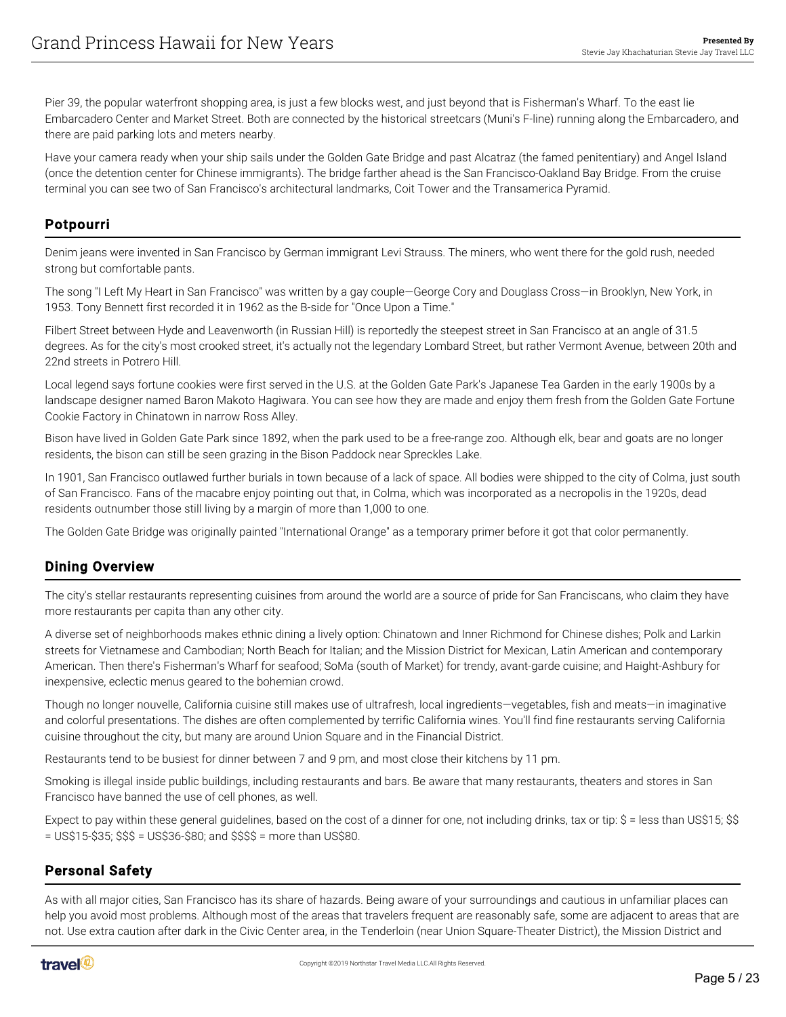Pier 39, the popular waterfront shopping area, is just a few blocks west, and just beyond that is Fisherman's Wharf. To the east lie Embarcadero Center and Market Street. Both are connected by the historical streetcars (Muni's F-line) running along the Embarcadero, and there are paid parking lots and meters nearby.

Have your camera ready when your ship sails under the Golden Gate Bridge and past Alcatraz (the famed penitentiary) and Angel Island (once the detention center for Chinese immigrants). The bridge farther ahead is the San Francisco-Oakland Bay Bridge. From the cruise terminal you can see two of San Francisco's architectural landmarks, Coit Tower and the Transamerica Pyramid.

#### Potpourri

Denim jeans were invented in San Francisco by German immigrant Levi Strauss. The miners, who went there for the gold rush, needed strong but comfortable pants.

The song "I Left My Heart in San Francisco" was written by a gay couple—George Cory and Douglass Cross—in Brooklyn, New York, in 1953. Tony Bennett first recorded it in 1962 as the B-side for "Once Upon a Time."

Filbert Street between Hyde and Leavenworth (in Russian Hill) is reportedly the steepest street in San Francisco at an angle of 31.5 degrees. As for the city's most crooked street, it's actually not the legendary Lombard Street, but rather Vermont Avenue, between 20th and 22nd streets in Potrero Hill.

Local legend says fortune cookies were first served in the U.S. at the Golden Gate Park's Japanese Tea Garden in the early 1900s by a landscape designer named Baron Makoto Hagiwara. You can see how they are made and enjoy them fresh from the Golden Gate Fortune Cookie Factory in Chinatown in narrow Ross Alley.

Bison have lived in Golden Gate Park since 1892, when the park used to be a free-range zoo. Although elk, bear and goats are no longer residents, the bison can still be seen grazing in the Bison Paddock near Spreckles Lake.

In 1901, San Francisco outlawed further burials in town because of a lack of space. All bodies were shipped to the city of Colma, just south of San Francisco. Fans of the macabre enjoy pointing out that, in Colma, which was incorporated as a necropolis in the 1920s, dead residents outnumber those still living by a margin of more than 1,000 to one.

The Golden Gate Bridge was originally painted "International Orange" as a temporary primer before it got that color permanently.

## Dining Overview

The city's stellar restaurants representing cuisines from around the world are a source of pride for San Franciscans, who claim they have more restaurants per capita than any other city.

A diverse set of neighborhoods makes ethnic dining a lively option: Chinatown and Inner Richmond for Chinese dishes; Polk and Larkin streets for Vietnamese and Cambodian; North Beach for Italian; and the Mission District for Mexican, Latin American and contemporary American. Then there's Fisherman's Wharf for seafood; SoMa (south of Market) for trendy, avant-garde cuisine; and Haight-Ashbury for inexpensive, eclectic menus geared to the bohemian crowd.

Though no longer nouvelle, California cuisine still makes use of ultrafresh, local ingredients—vegetables, fish and meats—in imaginative and colorful presentations. The dishes are often complemented by terrific California wines. You'll find fine restaurants serving California cuisine throughout the city, but many are around Union Square and in the Financial District.

Restaurants tend to be busiest for dinner between 7 and 9 pm, and most close their kitchens by 11 pm.

Smoking is illegal inside public buildings, including restaurants and bars. Be aware that many restaurants, theaters and stores in San Francisco have banned the use of cell phones, as well.

Expect to pay within these general guidelines, based on the cost of a dinner for one, not including drinks, tax or tip: \$ = less than US\$15; \$\$ = US\$15-\$35; \$\$\$ = US\$36-\$80; and \$\$\$\$ = more than US\$80.

## Personal Safety

As with all major cities, San Francisco has its share of hazards. Being aware of your surroundings and cautious in unfamiliar places can help you avoid most problems. Although most of the areas that travelers frequent are reasonably safe, some are adjacent to areas that are not. Use extra caution after dark in the Civic Center area, in the Tenderloin (near Union Square-Theater District), the Mission District and

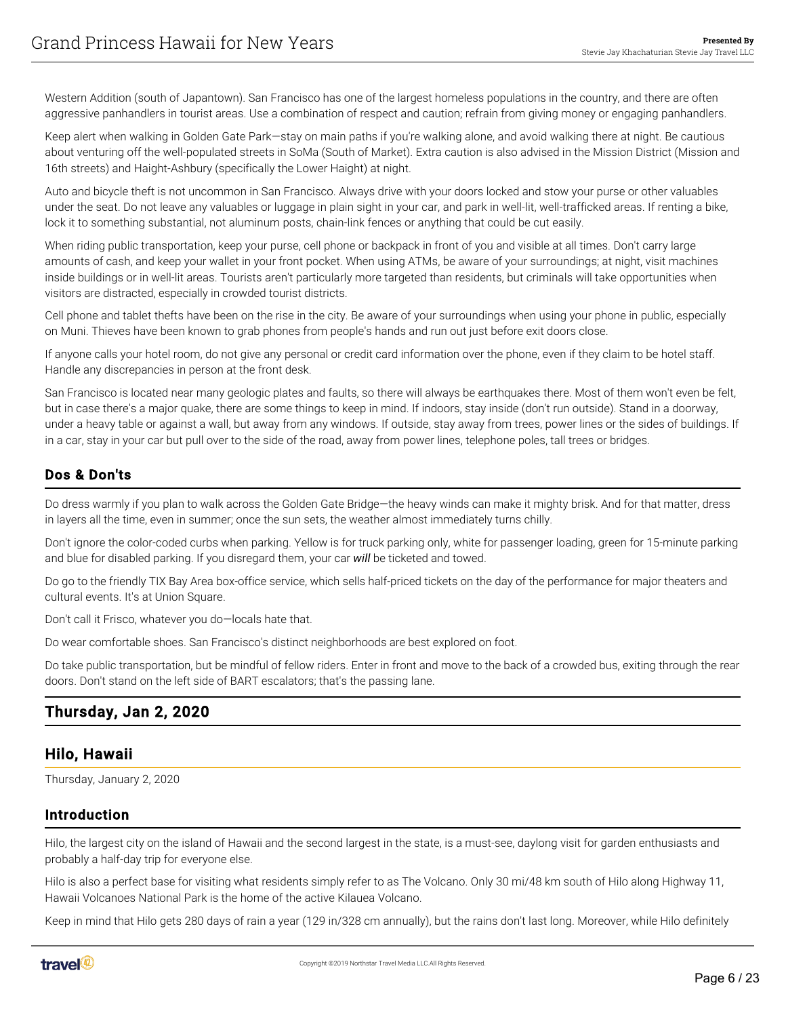Western Addition (south of Japantown). San Francisco has one of the largest homeless populations in the country, and there are often aggressive panhandlers in tourist areas. Use a combination of respect and caution; refrain from giving money or engaging panhandlers.

Keep alert when walking in Golden Gate Park—stay on main paths if you're walking alone, and avoid walking there at night. Be cautious about venturing off the well-populated streets in SoMa (South of Market). Extra caution is also advised in the Mission District (Mission and 16th streets) and Haight-Ashbury (specifically the Lower Haight) at night.

Auto and bicycle theft is not uncommon in San Francisco. Always drive with your doors locked and stow your purse or other valuables under the seat. Do not leave any valuables or luggage in plain sight in your car, and park in well-lit, well-trafficked areas. If renting a bike, lock it to something substantial, not aluminum posts, chain-link fences or anything that could be cut easily.

When riding public transportation, keep your purse, cell phone or backpack in front of you and visible at all times. Don't carry large amounts of cash, and keep your wallet in your front pocket. When using ATMs, be aware of your surroundings; at night, visit machines inside buildings or in well-lit areas. Tourists aren't particularly more targeted than residents, but criminals will take opportunities when visitors are distracted, especially in crowded tourist districts.

Cell phone and tablet thefts have been on the rise in the city. Be aware of your surroundings when using your phone in public, especially on Muni. Thieves have been known to grab phones from people's hands and run out just before exit doors close.

If anyone calls your hotel room, do not give any personal or credit card information over the phone, even if they claim to be hotel staff. Handle any discrepancies in person at the front desk.

San Francisco is located near many geologic plates and faults, so there will always be earthquakes there. Most of them won't even be felt, but in case there's a major quake, there are some things to keep in mind. If indoors, stay inside (don't run outside). Stand in a doorway, under a heavy table or against a wall, but away from any windows. If outside, stay away from trees, power lines or the sides of buildings. If in a car, stay in your car but pull over to the side of the road, away from power lines, telephone poles, tall trees or bridges.

# Dos & Don'ts

Do dress warmly if you plan to walk across the Golden Gate Bridge—the heavy winds can make it mighty brisk. And for that matter, dress in layers all the time, even in summer; once the sun sets, the weather almost immediately turns chilly.

Don't ignore the color-coded curbs when parking. Yellow is for truck parking only, white for passenger loading, green for 15-minute parking and blue for disabled parking. If you disregard them, your car *will* be ticketed and towed.

Do go to the friendly TIX Bay Area box-office service, which sells half-priced tickets on the day of the performance for major theaters and cultural events. It's at Union Square.

Don't call it Frisco, whatever you do—locals hate that.

Do wear comfortable shoes. San Francisco's distinct neighborhoods are best explored on foot.

Do take public transportation, but be mindful of fellow riders. Enter in front and move to the back of a crowded bus, exiting through the rear doors. Don't stand on the left side of BART escalators; that's the passing lane.

# <span id="page-5-0"></span>Thursday, Jan 2, 2020

# <span id="page-5-1"></span>Hilo, Hawaii

Thursday, January 2, 2020

#### Introduction

Hilo, the largest city on the island of Hawaii and the second largest in the state, is a must-see, daylong visit for garden enthusiasts and probably a half-day trip for everyone else.

Hilo is also a perfect base for visiting what residents simply refer to as The Volcano. Only 30 mi/48 km south of Hilo along Highway 11, Hawaii Volcanoes National Park is the home of the active Kilauea Volcano.

Keep in mind that Hilo gets 280 days of rain a year (129 in/328 cm annually), but the rains don't last long. Moreover, while Hilo definitely

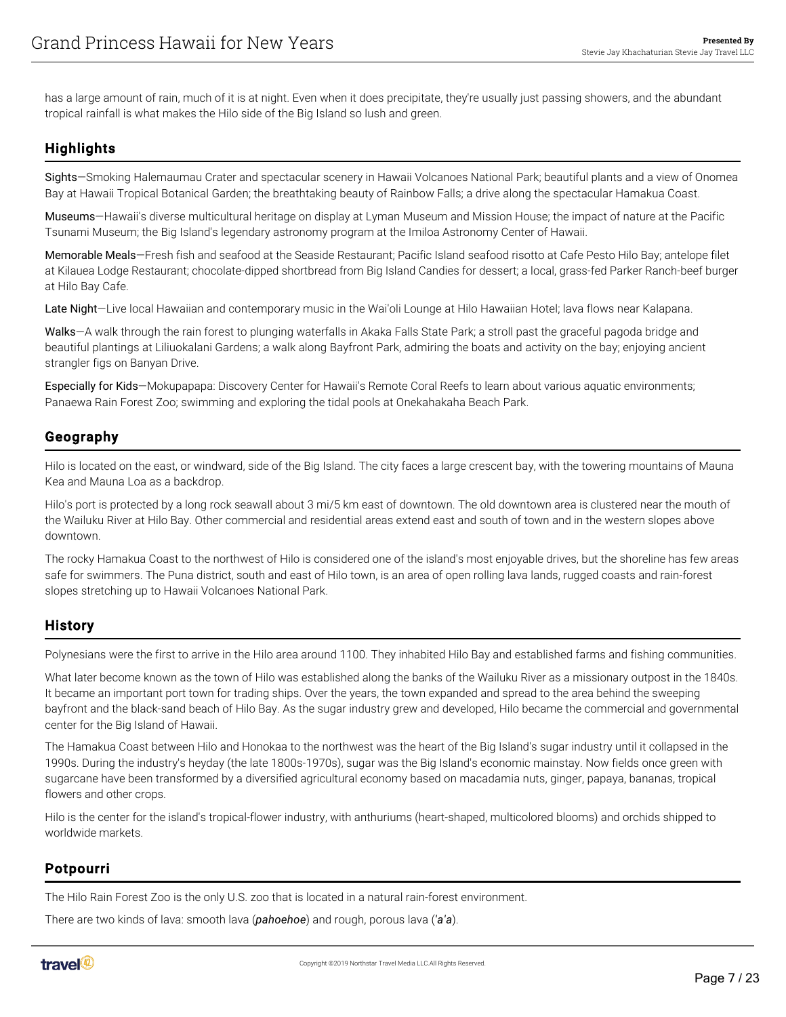has a large amount of rain, much of it is at night. Even when it does precipitate, they're usually just passing showers, and the abundant tropical rainfall is what makes the Hilo side of the Big Island so lush and green.

# **Highlights**

Sights—Smoking Halemaumau Crater and spectacular scenery in Hawaii Volcanoes National Park; beautiful plants and a view of Onomea Bay at Hawaii Tropical Botanical Garden; the breathtaking beauty of Rainbow Falls; a drive along the spectacular Hamakua Coast.

Museums—Hawaii's diverse multicultural heritage on display at Lyman Museum and Mission House; the impact of nature at the Pacific Tsunami Museum; the Big Island's legendary astronomy program at the Imiloa Astronomy Center of Hawaii.

Memorable Meals—Fresh fish and seafood at the Seaside Restaurant; Pacific Island seafood risotto at Cafe Pesto Hilo Bay; antelope filet at Kilauea Lodge Restaurant; chocolate-dipped shortbread from Big Island Candies for dessert; a local, grass-fed Parker Ranch-beef burger at Hilo Bay Cafe.

Late Night-Live local Hawaiian and contemporary music in the Wai'oli Lounge at Hilo Hawaiian Hotel; lava flows near Kalapana.

Walks—A walk through the rain forest to plunging waterfalls in Akaka Falls State Park; a stroll past the graceful pagoda bridge and beautiful plantings at Liliuokalani Gardens; a walk along Bayfront Park, admiring the boats and activity on the bay; enjoying ancient strangler figs on Banyan Drive.

Especially for Kids—Mokupapapa: Discovery Center for Hawaii's Remote Coral Reefs to learn about various aquatic environments; Panaewa Rain Forest Zoo; swimming and exploring the tidal pools at Onekahakaha Beach Park.

#### Geography

Hilo is located on the east, or windward, side of the Big Island. The city faces a large crescent bay, with the towering mountains of Mauna Kea and Mauna Loa as a backdrop.

Hilo's port is protected by a long rock seawall about 3 mi/5 km east of downtown. The old downtown area is clustered near the mouth of the Wailuku River at Hilo Bay. Other commercial and residential areas extend east and south of town and in the western slopes above downtown.

The rocky Hamakua Coast to the northwest of Hilo is considered one of the island's most enjoyable drives, but the shoreline has few areas safe for swimmers. The Puna district, south and east of Hilo town, is an area of open rolling lava lands, rugged coasts and rain-forest slopes stretching up to Hawaii Volcanoes National Park.

## **History**

Polynesians were the first to arrive in the Hilo area around 1100. They inhabited Hilo Bay and established farms and fishing communities.

What later become known as the town of Hilo was established along the banks of the Wailuku River as a missionary outpost in the 1840s. It became an important port town for trading ships. Over the years, the town expanded and spread to the area behind the sweeping bayfront and the black-sand beach of Hilo Bay. As the sugar industry grew and developed, Hilo became the commercial and governmental center for the Big Island of Hawaii.

The Hamakua Coast between Hilo and Honokaa to the northwest was the heart of the Big Island's sugar industry until it collapsed in the 1990s. During the industry's heyday (the late 1800s-1970s), sugar was the Big Island's economic mainstay. Now fields once green with sugarcane have been transformed by a diversified agricultural economy based on macadamia nuts, ginger, papaya, bananas, tropical flowers and other crops.

Hilo is the center for the island's tropical-flower industry, with anthuriums (heart-shaped, multicolored blooms) and orchids shipped to worldwide markets.

## Potpourri

The Hilo Rain Forest Zoo is the only U.S. zoo that is located in a natural rain-forest environment.

There are two kinds of lava: smooth lava (*pahoehoe*) and rough, porous lava (*'a'a*).

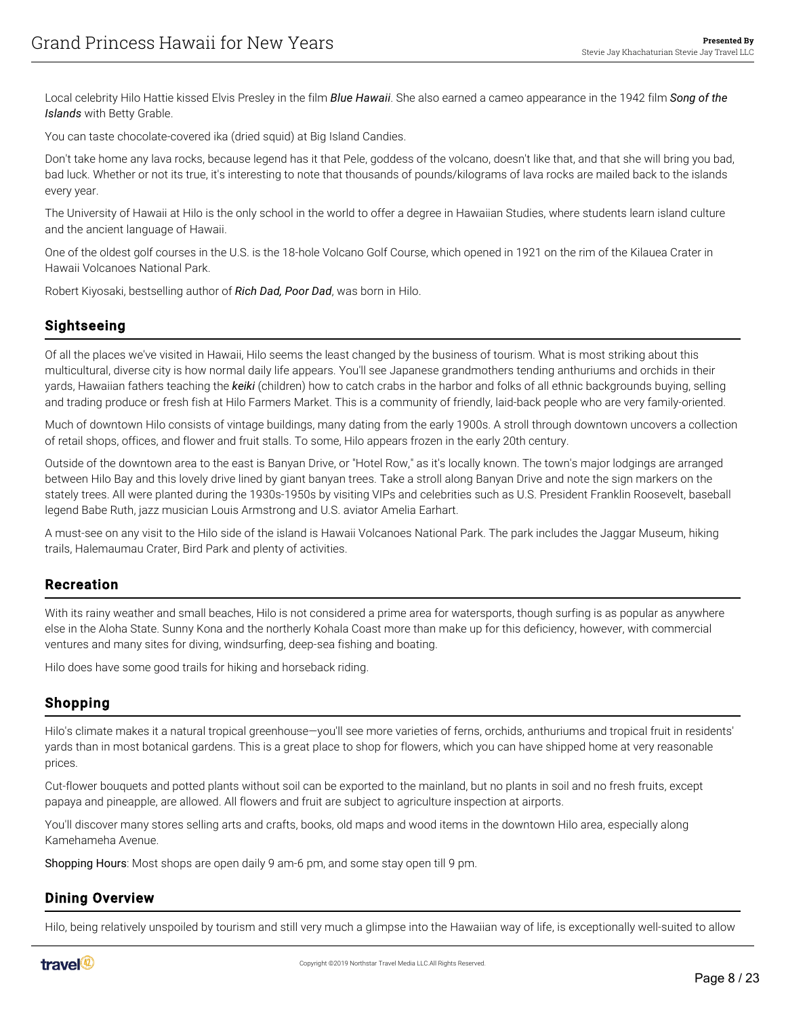Local celebrity Hilo Hattie kissed Elvis Presley in the film *Blue Hawaii*. She also earned a cameo appearance in the 1942 film *Song of the Islands* with Betty Grable.

You can taste chocolate-covered ika (dried squid) at Big Island Candies.

Don't take home any lava rocks, because legend has it that Pele, goddess of the volcano, doesn't like that, and that she will bring you bad, bad luck. Whether or not its true, it's interesting to note that thousands of pounds/kilograms of lava rocks are mailed back to the islands every year.

The University of Hawaii at Hilo is the only school in the world to offer a degree in Hawaiian Studies, where students learn island culture and the ancient language of Hawaii.

One of the oldest golf courses in the U.S. is the 18-hole Volcano Golf Course, which opened in 1921 on the rim of the Kilauea Crater in Hawaii Volcanoes National Park.

Robert Kiyosaki, bestselling author of *Rich Dad, Poor Dad*, was born in Hilo.

#### Sightseeing

Of all the places we've visited in Hawaii, Hilo seems the least changed by the business of tourism. What is most striking about this multicultural, diverse city is how normal daily life appears. You'll see Japanese grandmothers tending anthuriums and orchids in their yards, Hawaiian fathers teaching the *keiki* (children) how to catch crabs in the harbor and folks of all ethnic backgrounds buying, selling and trading produce or fresh fish at Hilo Farmers Market. This is a community of friendly, laid-back people who are very family-oriented.

Much of downtown Hilo consists of vintage buildings, many dating from the early 1900s. A stroll through downtown uncovers a collection of retail shops, offices, and flower and fruit stalls. To some, Hilo appears frozen in the early 20th century.

Outside of the downtown area to the east is Banyan Drive, or "Hotel Row," as it's locally known. The town's major lodgings are arranged between Hilo Bay and this lovely drive lined by giant banyan trees. Take a stroll along Banyan Drive and note the sign markers on the stately trees. All were planted during the 1930s-1950s by visiting VIPs and celebrities such as U.S. President Franklin Roosevelt, baseball legend Babe Ruth, jazz musician Louis Armstrong and U.S. aviator Amelia Earhart.

A must-see on any visit to the Hilo side of the island is Hawaii Volcanoes National Park. The park includes the Jaggar Museum, hiking trails, Halemaumau Crater, Bird Park and plenty of activities.

#### Recreation

With its rainy weather and small beaches, Hilo is not considered a prime area for watersports, though surfing is as popular as anywhere else in the Aloha State. Sunny Kona and the northerly Kohala Coast more than make up for this deficiency, however, with commercial ventures and many sites for diving, windsurfing, deep-sea fishing and boating.

Hilo does have some good trails for hiking and horseback riding.

## Shopping

Hilo's climate makes it a natural tropical greenhouse—you'll see more varieties of ferns, orchids, anthuriums and tropical fruit in residents' yards than in most botanical gardens. This is a great place to shop for flowers, which you can have shipped home at very reasonable prices.

Cut-flower bouquets and potted plants without soil can be exported to the mainland, but no plants in soil and no fresh fruits, except papaya and pineapple, are allowed. All flowers and fruit are subject to agriculture inspection at airports.

You'll discover many stores selling arts and crafts, books, old maps and wood items in the downtown Hilo area, especially along Kamehameha Avenue.

Shopping Hours: Most shops are open daily 9 am-6 pm, and some stay open till 9 pm.

#### Dining Overview

Hilo, being relatively unspoiled by tourism and still very much a glimpse into the Hawaiian way of life, is exceptionally well-suited to allow

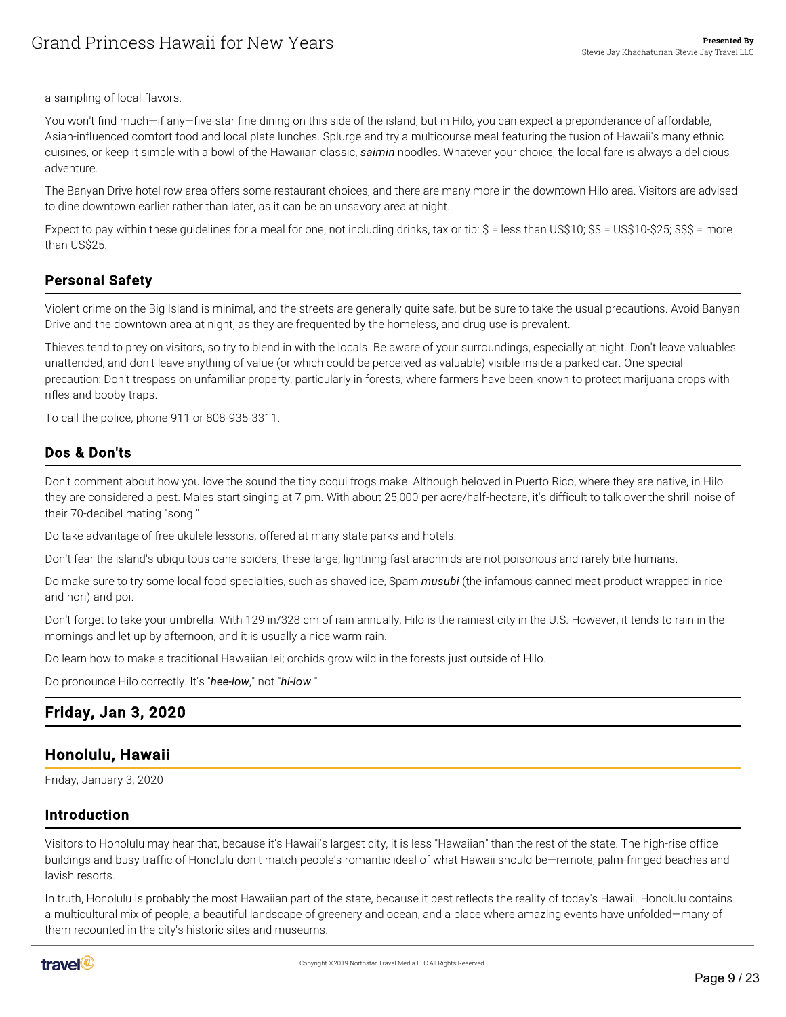a sampling of local flavors.

You won't find much—if any—five-star fine dining on this side of the island, but in Hilo, you can expect a preponderance of affordable, Asian-influenced comfort food and local plate lunches. Splurge and try a multicourse meal featuring the fusion of Hawaii's many ethnic cuisines, or keep it simple with a bowl of the Hawaiian classic, *saimin* noodles. Whatever your choice, the local fare is always a delicious adventure.

The Banyan Drive hotel row area offers some restaurant choices, and there are many more in the downtown Hilo area. Visitors are advised to dine downtown earlier rather than later, as it can be an unsavory area at night.

Expect to pay within these guidelines for a meal for one, not including drinks, tax or tip:  $\$\$  = less than US\$10; \$\$ = US\$10-\$25; \$\$\$ = more than US\$25.

## Personal Safety

Violent crime on the Big Island is minimal, and the streets are generally quite safe, but be sure to take the usual precautions. Avoid Banyan Drive and the downtown area at night, as they are frequented by the homeless, and drug use is prevalent.

Thieves tend to prey on visitors, so try to blend in with the locals. Be aware of your surroundings, especially at night. Don't leave valuables unattended, and don't leave anything of value (or which could be perceived as valuable) visible inside a parked car. One special precaution: Don't trespass on unfamiliar property, particularly in forests, where farmers have been known to protect marijuana crops with rifles and booby traps.

To call the police, phone 911 or 808-935-3311.

#### Dos & Don'ts

Don't comment about how you love the sound the tiny coqui frogs make. Although beloved in Puerto Rico, where they are native, in Hilo they are considered a pest. Males start singing at 7 pm. With about 25,000 per acre/half-hectare, it's difficult to talk over the shrill noise of their 70-decibel mating "song."

Do take advantage of free ukulele lessons, offered at many state parks and hotels.

Don't fear the island's ubiquitous cane spiders; these large, lightning-fast arachnids are not poisonous and rarely bite humans.

Do make sure to try some local food specialties, such as shaved ice, Spam *musubi* (the infamous canned meat product wrapped in rice and nori) and poi.

Don't forget to take your umbrella. With 129 in/328 cm of rain annually, Hilo is the rainiest city in the U.S. However, it tends to rain in the mornings and let up by afternoon, and it is usually a nice warm rain.

Do learn how to make a traditional Hawaiian lei; orchids grow wild in the forests just outside of Hilo.

Do pronounce Hilo correctly. It's "*hee-low*," not "*hi-low*."

# <span id="page-8-0"></span>Friday, Jan 3, 2020

## <span id="page-8-1"></span>Honolulu, Hawaii

Friday, January 3, 2020

#### Introduction

Visitors to Honolulu may hear that, because it's Hawaii's largest city, it is less "Hawaiian" than the rest of the state. The high-rise office buildings and busy traffic of Honolulu don't match people's romantic ideal of what Hawaii should be—remote, palm-fringed beaches and lavish resorts.

In truth, Honolulu is probably the most Hawaiian part of the state, because it best reflects the reality of today's Hawaii. Honolulu contains a multicultural mix of people, a beautiful landscape of greenery and ocean, and a place where amazing events have unfolded—many of them recounted in the city's historic sites and museums.

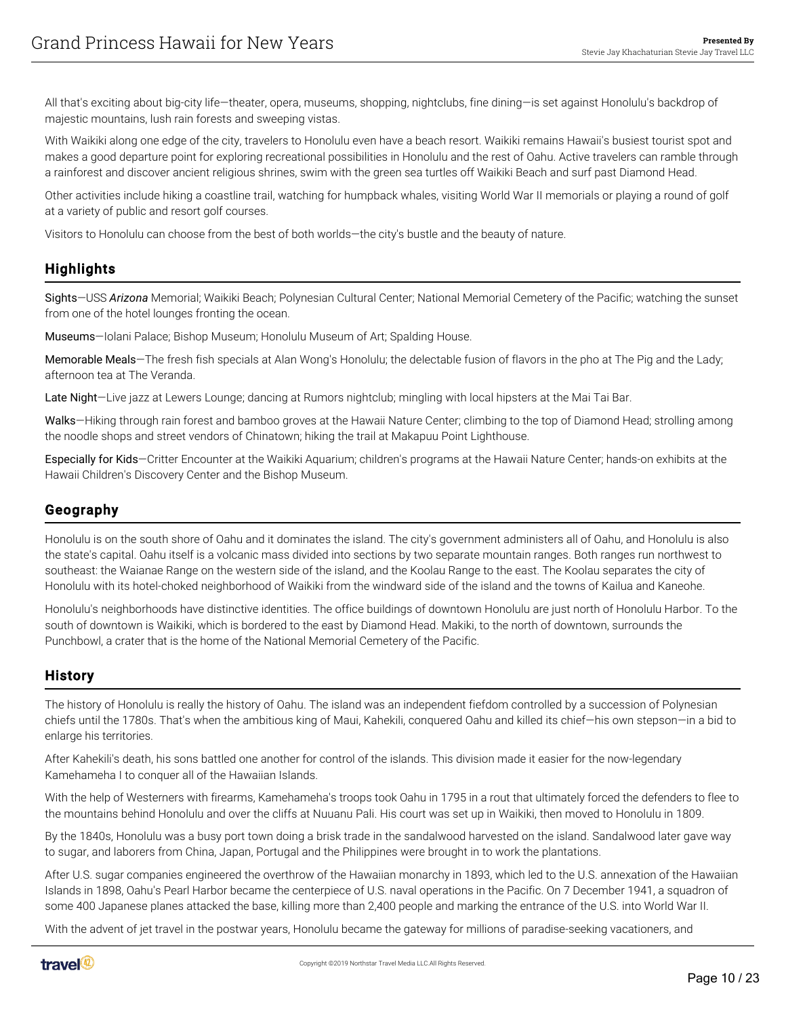All that's exciting about big-city life—theater, opera, museums, shopping, nightclubs, fine dining—is set against Honolulu's backdrop of majestic mountains, lush rain forests and sweeping vistas.

With Waikiki along one edge of the city, travelers to Honolulu even have a beach resort. Waikiki remains Hawaii's busiest tourist spot and makes a good departure point for exploring recreational possibilities in Honolulu and the rest of Oahu. Active travelers can ramble through a rainforest and discover ancient religious shrines, swim with the green sea turtles off Waikiki Beach and surf past Diamond Head.

Other activities include hiking a coastline trail, watching for humpback whales, visiting World War II memorials or playing a round of golf at a variety of public and resort golf courses.

Visitors to Honolulu can choose from the best of both worlds—the city's bustle and the beauty of nature.

## **Highlights**

Sights—USS *Arizona* Memorial; Waikiki Beach; Polynesian Cultural Center; National Memorial Cemetery of the Pacific; watching the sunset from one of the hotel lounges fronting the ocean.

Museums—Iolani Palace; Bishop Museum; Honolulu Museum of Art; Spalding House.

Memorable Meals—The fresh fish specials at Alan Wong's Honolulu; the delectable fusion of flavors in the pho at The Pig and the Lady; afternoon tea at The Veranda.

Late Night-Live jazz at Lewers Lounge; dancing at Rumors nightclub; mingling with local hipsters at the Mai Tai Bar.

Walks—Hiking through rain forest and bamboo groves at the Hawaii Nature Center; climbing to the top of Diamond Head; strolling among the noodle shops and street vendors of Chinatown; hiking the trail at Makapuu Point Lighthouse.

Especially for Kids—Critter Encounter at the Waikiki Aquarium; children's programs at the Hawaii Nature Center; hands-on exhibits at the Hawaii Children's Discovery Center and the Bishop Museum.

#### Geography

Honolulu is on the south shore of Oahu and it dominates the island. The city's government administers all of Oahu, and Honolulu is also the state's capital. Oahu itself is a volcanic mass divided into sections by two separate mountain ranges. Both ranges run northwest to southeast: the Waianae Range on the western side of the island, and the Koolau Range to the east. The Koolau separates the city of Honolulu with its hotel-choked neighborhood of Waikiki from the windward side of the island and the towns of Kailua and Kaneohe.

Honolulu's neighborhoods have distinctive identities. The office buildings of downtown Honolulu are just north of Honolulu Harbor. To the south of downtown is Waikiki, which is bordered to the east by Diamond Head. Makiki, to the north of downtown, surrounds the Punchbowl, a crater that is the home of the National Memorial Cemetery of the Pacific.

#### History

The history of Honolulu is really the history of Oahu. The island was an independent fiefdom controlled by a succession of Polynesian chiefs until the 1780s. That's when the ambitious king of Maui, Kahekili, conquered Oahu and killed its chief—his own stepson—in a bid to enlarge his territories.

After Kahekili's death, his sons battled one another for control of the islands. This division made it easier for the now-legendary Kamehameha I to conquer all of the Hawaiian Islands.

With the help of Westerners with firearms, Kamehameha's troops took Oahu in 1795 in a rout that ultimately forced the defenders to flee to the mountains behind Honolulu and over the cliffs at Nuuanu Pali. His court was set up in Waikiki, then moved to Honolulu in 1809.

By the 1840s, Honolulu was a busy port town doing a brisk trade in the sandalwood harvested on the island. Sandalwood later gave way to sugar, and laborers from China, Japan, Portugal and the Philippines were brought in to work the plantations.

After U.S. sugar companies engineered the overthrow of the Hawaiian monarchy in 1893, which led to the U.S. annexation of the Hawaiian Islands in 1898, Oahu's Pearl Harbor became the centerpiece of U.S. naval operations in the Pacific. On 7 December 1941, a squadron of some 400 Japanese planes attacked the base, killing more than 2,400 people and marking the entrance of the U.S. into World War II.

With the advent of jet travel in the postwar years, Honolulu became the gateway for millions of paradise-seeking vacationers, and

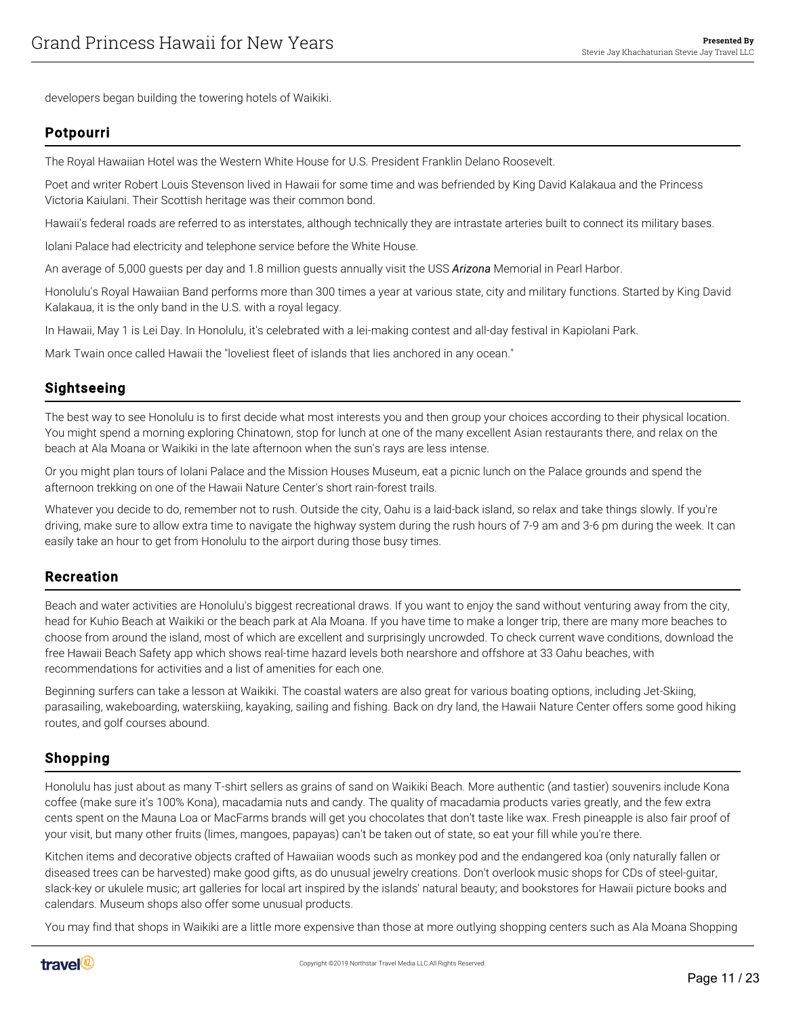developers began building the towering hotels of Waikiki.

#### Potpourri

The Royal Hawaiian Hotel was the Western White House for U.S. President Franklin Delano Roosevelt.

Poet and writer Robert Louis Stevenson lived in Hawaii for some time and was befriended by King David Kalakaua and the Princess Victoria Kaiulani. Their Scottish heritage was their common bond.

Hawaii's federal roads are referred to as interstates, although technically they are intrastate arteries built to connect its military bases.

Iolani Palace had electricity and telephone service before the White House.

An average of 5,000 guests per day and 1.8 million guests annually visit the USS *Arizona* Memorial in Pearl Harbor.

Honolulu's Royal Hawaiian Band performs more than 300 times a year at various state, city and military functions. Started by King David Kalakaua, it is the only band in the U.S. with a royal legacy.

In Hawaii, May 1 is Lei Day. In Honolulu, it's celebrated with a lei-making contest and all-day festival in Kapiolani Park.

Mark Twain once called Hawaii the "loveliest fleet of islands that lies anchored in any ocean."

#### Sightseeing

The best way to see Honolulu is to first decide what most interests you and then group your choices according to their physical location. You might spend a morning exploring Chinatown, stop for lunch at one of the many excellent Asian restaurants there, and relax on the beach at Ala Moana or Waikiki in the late afternoon when the sun's rays are less intense.

Or you might plan tours of Iolani Palace and the Mission Houses Museum, eat a picnic lunch on the Palace grounds and spend the afternoon trekking on one of the Hawaii Nature Center's short rain-forest trails.

Whatever you decide to do, remember not to rush. Outside the city, Oahu is a laid-back island, so relax and take things slowly. If you're driving, make sure to allow extra time to navigate the highway system during the rush hours of 7-9 am and 3-6 pm during the week. It can easily take an hour to get from Honolulu to the airport during those busy times.

#### Recreation

Beach and water activities are Honolulu's biggest recreational draws. If you want to enjoy the sand without venturing away from the city, head for Kuhio Beach at Waikiki or the beach park at Ala Moana. If you have time to make a longer trip, there are many more beaches to choose from around the island, most of which are excellent and surprisingly uncrowded. To check current wave conditions, download the free Hawaii Beach Safety app which shows real-time hazard levels both nearshore and offshore at 33 Oahu beaches, with recommendations for activities and a list of amenities for each one.

Beginning surfers can take a lesson at Waikiki. The coastal waters are also great for various boating options, including Jet-Skiing, parasailing, wakeboarding, waterskiing, kayaking, sailing and fishing. Back on dry land, the Hawaii Nature Center offers some good hiking routes, and golf courses abound.

#### Shopping

Honolulu has just about as many T-shirt sellers as grains of sand on Waikiki Beach. More authentic (and tastier) souvenirs include Kona coffee (make sure it's 100% Kona), macadamia nuts and candy. The quality of macadamia products varies greatly, and the few extra cents spent on the Mauna Loa or MacFarms brands will get you chocolates that don't taste like wax. Fresh pineapple is also fair proof of your visit, but many other fruits (limes, mangoes, papayas) can't be taken out of state, so eat your fill while you're there.

Kitchen items and decorative objects crafted of Hawaiian woods such as monkey pod and the endangered koa (only naturally fallen or diseased trees can be harvested) make good gifts, as do unusual jewelry creations. Don't overlook music shops for CDs of steel-guitar, slack-key or ukulele music; art galleries for local art inspired by the islands' natural beauty; and bookstores for Hawaii picture books and calendars. Museum shops also offer some unusual products.

You may find that shops in Waikiki are a little more expensive than those at more outlying shopping centers such as Ala Moana Shopping

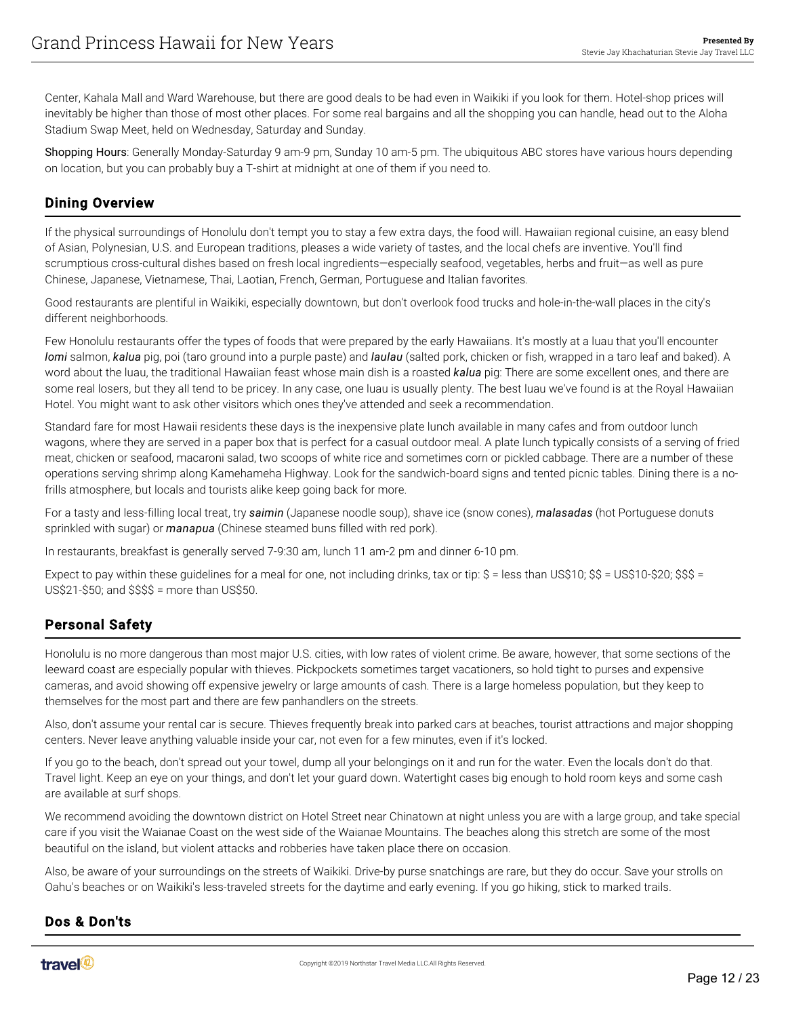Center, Kahala Mall and Ward Warehouse, but there are good deals to be had even in Waikiki if you look for them. Hotel-shop prices will inevitably be higher than those of most other places. For some real bargains and all the shopping you can handle, head out to the Aloha Stadium Swap Meet, held on Wednesday, Saturday and Sunday.

Shopping Hours: Generally Monday-Saturday 9 am-9 pm, Sunday 10 am-5 pm. The ubiquitous ABC stores have various hours depending on location, but you can probably buy a T-shirt at midnight at one of them if you need to.

#### Dining Overview

If the physical surroundings of Honolulu don't tempt you to stay a few extra days, the food will. Hawaiian regional cuisine, an easy blend of Asian, Polynesian, U.S. and European traditions, pleases a wide variety of tastes, and the local chefs are inventive. You'll find scrumptious cross-cultural dishes based on fresh local ingredients—especially seafood, vegetables, herbs and fruit—as well as pure Chinese, Japanese, Vietnamese, Thai, Laotian, French, German, Portuguese and Italian favorites.

Good restaurants are plentiful in Waikiki, especially downtown, but don't overlook food trucks and hole-in-the-wall places in the city's different neighborhoods.

Few Honolulu restaurants offer the types of foods that were prepared by the early Hawaiians. It's mostly at a luau that you'll encounter *lomi* salmon, *kalua* pig, poi (taro ground into a purple paste) and *laulau* (salted pork, chicken or fish, wrapped in a taro leaf and baked). A word about the luau, the traditional Hawaiian feast whose main dish is a roasted *kalua* pig: There are some excellent ones, and there are some real losers, but they all tend to be pricey. In any case, one luau is usually plenty. The best luau we've found is at the Royal Hawaiian Hotel. You might want to ask other visitors which ones they've attended and seek a recommendation.

Standard fare for most Hawaii residents these days is the inexpensive plate lunch available in many cafes and from outdoor lunch wagons, where they are served in a paper box that is perfect for a casual outdoor meal. A plate lunch typically consists of a serving of fried meat, chicken or seafood, macaroni salad, two scoops of white rice and sometimes corn or pickled cabbage. There are a number of these operations serving shrimp along Kamehameha Highway. Look for the sandwich-board signs and tented picnic tables. Dining there is a nofrills atmosphere, but locals and tourists alike keep going back for more.

For a tasty and less-filling local treat, try *saimin* (Japanese noodle soup), shave ice (snow cones), *malasadas* (hot Portuguese donuts sprinkled with sugar) or *manapua* (Chinese steamed buns filled with red pork).

In restaurants, breakfast is generally served 7-9:30 am, lunch 11 am-2 pm and dinner 6-10 pm.

Expect to pay within these guidelines for a meal for one, not including drinks, tax or tip: \$ = less than US\$10; \$\$ = US\$10-\$20; \$\$\$ = US\$21-\$50; and \$\$\$\$ = more than US\$50.

## Personal Safety

Honolulu is no more dangerous than most major U.S. cities, with low rates of violent crime. Be aware, however, that some sections of the leeward coast are especially popular with thieves. Pickpockets sometimes target vacationers, so hold tight to purses and expensive cameras, and avoid showing off expensive jewelry or large amounts of cash. There is a large homeless population, but they keep to themselves for the most part and there are few panhandlers on the streets.

Also, don't assume your rental car is secure. Thieves frequently break into parked cars at beaches, tourist attractions and major shopping centers. Never leave anything valuable inside your car, not even for a few minutes, even if it's locked.

If you go to the beach, don't spread out your towel, dump all your belongings on it and run for the water. Even the locals don't do that. Travel light. Keep an eye on your things, and don't let your guard down. Watertight cases big enough to hold room keys and some cash are available at surf shops.

We recommend avoiding the downtown district on Hotel Street near Chinatown at night unless you are with a large group, and take special care if you visit the Waianae Coast on the west side of the Waianae Mountains. The beaches along this stretch are some of the most beautiful on the island, but violent attacks and robberies have taken place there on occasion.

Also, be aware of your surroundings on the streets of Waikiki. Drive-by purse snatchings are rare, but they do occur. Save your strolls on Oahu's beaches or on Waikiki's less-traveled streets for the daytime and early evening. If you go hiking, stick to marked trails.

#### Dos & Don'ts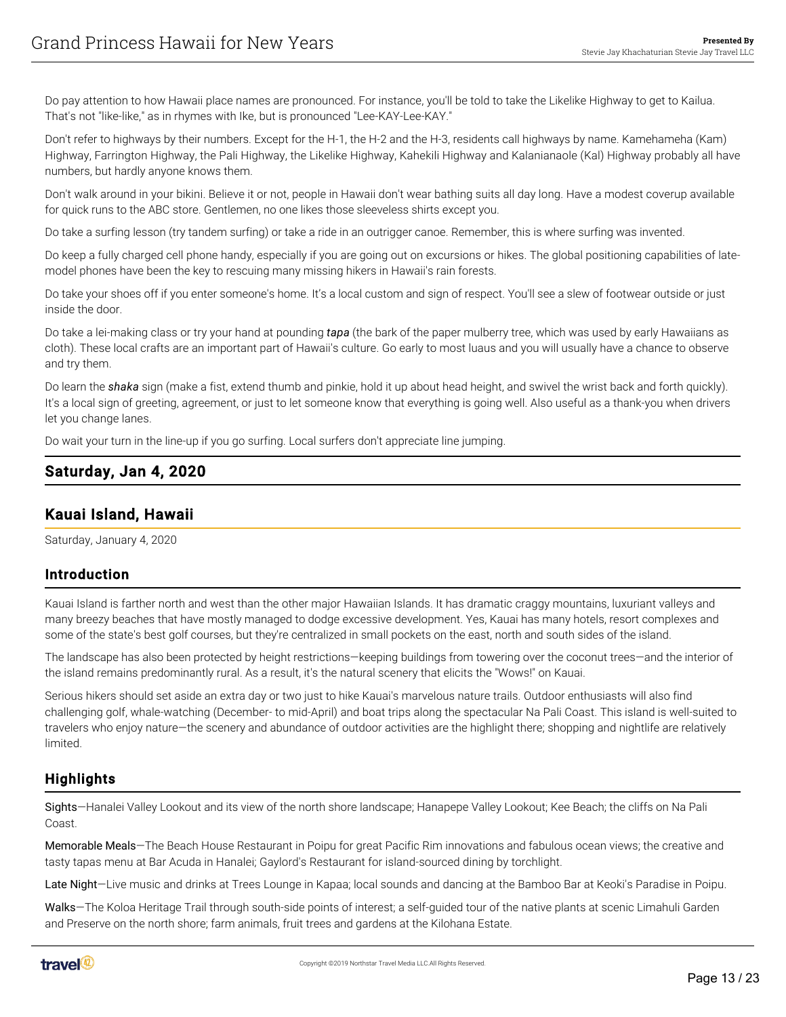Do pay attention to how Hawaii place names are pronounced. For instance, you'll be told to take the Likelike Highway to get to Kailua. That's not "like-like," as in rhymes with Ike, but is pronounced "Lee-KAY-Lee-KAY."

Don't refer to highways by their numbers. Except for the H-1, the H-2 and the H-3, residents call highways by name. Kamehameha (Kam) Highway, Farrington Highway, the Pali Highway, the Likelike Highway, Kahekili Highway and Kalanianaole (Kal) Highway probably all have numbers, but hardly anyone knows them.

Don't walk around in your bikini. Believe it or not, people in Hawaii don't wear bathing suits all day long. Have a modest coverup available for quick runs to the ABC store. Gentlemen, no one likes those sleeveless shirts except you.

Do take a surfing lesson (try tandem surfing) or take a ride in an outrigger canoe. Remember, this is where surfing was invented.

Do keep a fully charged cell phone handy, especially if you are going out on excursions or hikes. The global positioning capabilities of latemodel phones have been the key to rescuing many missing hikers in Hawaii's rain forests.

Do take your shoes off if you enter someone's home. It's a local custom and sign of respect. You'll see a slew of footwear outside or just inside the door.

Do take a lei-making class or try your hand at pounding *tapa* (the bark of the paper mulberry tree, which was used by early Hawaiians as cloth). These local crafts are an important part of Hawaii's culture. Go early to most luaus and you will usually have a chance to observe and try them.

Do learn the *shaka* sign (make a fist, extend thumb and pinkie, hold it up about head height, and swivel the wrist back and forth quickly). It's a local sign of greeting, agreement, or just to let someone know that everything is going well. Also useful as a thank-you when drivers let you change lanes.

Do wait your turn in the line-up if you go surfing. Local surfers don't appreciate line jumping.

## <span id="page-12-0"></span>Saturday, Jan 4, 2020

## <span id="page-12-1"></span>Kauai Island, Hawaii

Saturday, January 4, 2020

#### Introduction

Kauai Island is farther north and west than the other major Hawaiian Islands. It has dramatic craggy mountains, luxuriant valleys and many breezy beaches that have mostly managed to dodge excessive development. Yes, Kauai has many hotels, resort complexes and some of the state's best golf courses, but they're centralized in small pockets on the east, north and south sides of the island.

The landscape has also been protected by height restrictions—keeping buildings from towering over the coconut trees—and the interior of the island remains predominantly rural. As a result, it's the natural scenery that elicits the "Wows!" on Kauai.

Serious hikers should set aside an extra day or two just to hike Kauai's marvelous nature trails. Outdoor enthusiasts will also find challenging golf, whale-watching (December- to mid-April) and boat trips along the spectacular Na Pali Coast. This island is well-suited to travelers who enjoy nature—the scenery and abundance of outdoor activities are the highlight there; shopping and nightlife are relatively limited.

## **Highlights**

Sights—Hanalei Valley Lookout and its view of the north shore landscape; Hanapepe Valley Lookout; Kee Beach; the cliffs on Na Pali Coast.

Memorable Meals—The Beach House Restaurant in Poipu for great Pacific Rim innovations and fabulous ocean views; the creative and tasty tapas menu at Bar Acuda in Hanalei; Gaylord's Restaurant for island-sourced dining by torchlight.

Late Night-Live music and drinks at Trees Lounge in Kapaa; local sounds and dancing at the Bamboo Bar at Keoki's Paradise in Poipu.

Walks—The Koloa Heritage Trail through south-side points of interest; a self-guided tour of the native plants at scenic Limahuli Garden and Preserve on the north shore; farm animals, fruit trees and gardens at the Kilohana Estate.

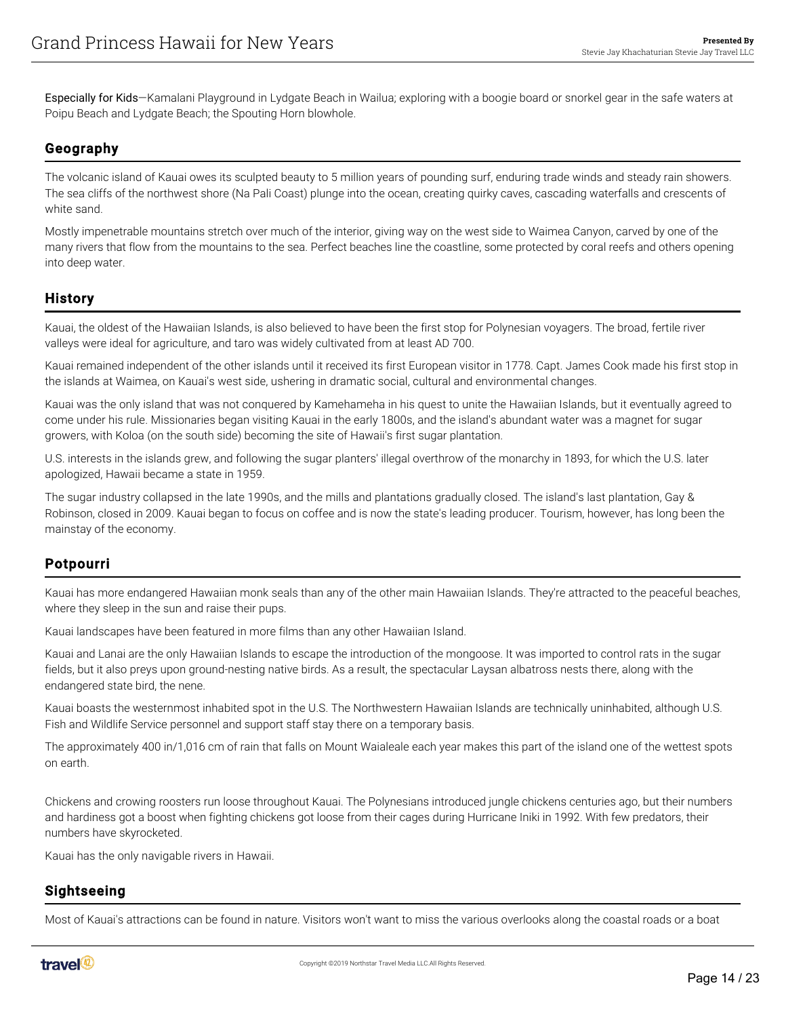Especially for Kids—Kamalani Playground in Lydgate Beach in Wailua; exploring with a boogie board or snorkel gear in the safe waters at Poipu Beach and Lydgate Beach; the Spouting Horn blowhole.

## Geography

The volcanic island of Kauai owes its sculpted beauty to 5 million years of pounding surf, enduring trade winds and steady rain showers. The sea cliffs of the northwest shore (Na Pali Coast) plunge into the ocean, creating quirky caves, cascading waterfalls and crescents of white sand.

Mostly impenetrable mountains stretch over much of the interior, giving way on the west side to Waimea Canyon, carved by one of the many rivers that flow from the mountains to the sea. Perfect beaches line the coastline, some protected by coral reefs and others opening into deep water.

#### **History**

Kauai, the oldest of the Hawaiian Islands, is also believed to have been the first stop for Polynesian voyagers. The broad, fertile river valleys were ideal for agriculture, and taro was widely cultivated from at least AD 700.

Kauai remained independent of the other islands until it received its first European visitor in 1778. Capt. James Cook made his first stop in the islands at Waimea, on Kauai's west side, ushering in dramatic social, cultural and environmental changes.

Kauai was the only island that was not conquered by Kamehameha in his quest to unite the Hawaiian Islands, but it eventually agreed to come under his rule. Missionaries began visiting Kauai in the early 1800s, and the island's abundant water was a magnet for sugar growers, with Koloa (on the south side) becoming the site of Hawaii's first sugar plantation.

U.S. interests in the islands grew, and following the sugar planters' illegal overthrow of the monarchy in 1893, for which the U.S. later apologized, Hawaii became a state in 1959.

The sugar industry collapsed in the late 1990s, and the mills and plantations gradually closed. The island's last plantation, Gay & Robinson, closed in 2009. Kauai began to focus on coffee and is now the state's leading producer. Tourism, however, has long been the mainstay of the economy.

#### Potpourri

Kauai has more endangered Hawaiian monk seals than any of the other main Hawaiian Islands. They're attracted to the peaceful beaches, where they sleep in the sun and raise their pups.

Kauai landscapes have been featured in more films than any other Hawaiian Island.

Kauai and Lanai are the only Hawaiian Islands to escape the introduction of the mongoose. It was imported to control rats in the sugar fields, but it also preys upon ground-nesting native birds. As a result, the spectacular Laysan albatross nests there, along with the endangered state bird, the nene.

Kauai boasts the westernmost inhabited spot in the U.S. The Northwestern Hawaiian Islands are technically uninhabited, although U.S. Fish and Wildlife Service personnel and support staff stay there on a temporary basis.

The approximately 400 in/1,016 cm of rain that falls on Mount Waialeale each year makes this part of the island one of the wettest spots on earth.

Chickens and crowing roosters run loose throughout Kauai. The Polynesians introduced jungle chickens centuries ago, but their numbers and hardiness got a boost when fighting chickens got loose from their cages during Hurricane Iniki in 1992. With few predators, their numbers have skyrocketed.

Kauai has the only navigable rivers in Hawaii.

#### Sightseeing

Most of Kauai's attractions can be found in nature. Visitors won't want to miss the various overlooks along the coastal roads or a boat

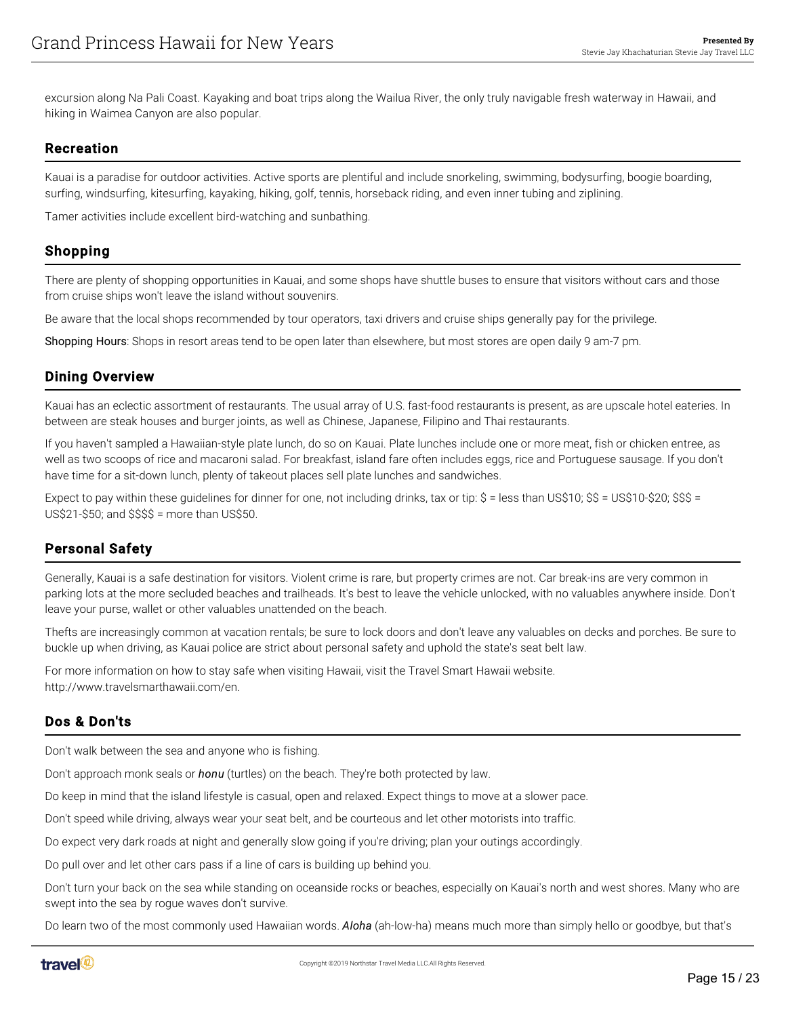excursion along Na Pali Coast. Kayaking and boat trips along the Wailua River, the only truly navigable fresh waterway in Hawaii, and hiking in Waimea Canyon are also popular.

#### Recreation

Kauai is a paradise for outdoor activities. Active sports are plentiful and include snorkeling, swimming, bodysurfing, boogie boarding, surfing, windsurfing, kitesurfing, kayaking, hiking, golf, tennis, horseback riding, and even inner tubing and ziplining.

Tamer activities include excellent bird-watching and sunbathing.

#### Shopping

There are plenty of shopping opportunities in Kauai, and some shops have shuttle buses to ensure that visitors without cars and those from cruise ships won't leave the island without souvenirs.

Be aware that the local shops recommended by tour operators, taxi drivers and cruise ships generally pay for the privilege.

Shopping Hours: Shops in resort areas tend to be open later than elsewhere, but most stores are open daily 9 am-7 pm.

#### Dining Overview

Kauai has an eclectic assortment of restaurants. The usual array of U.S. fast-food restaurants is present, as are upscale hotel eateries. In between are steak houses and burger joints, as well as Chinese, Japanese, Filipino and Thai restaurants.

If you haven't sampled a Hawaiian-style plate lunch, do so on Kauai. Plate lunches include one or more meat, fish or chicken entree, as well as two scoops of rice and macaroni salad. For breakfast, island fare often includes eggs, rice and Portuguese sausage. If you don't have time for a sit-down lunch, plenty of takeout places sell plate lunches and sandwiches.

Expect to pay within these guidelines for dinner for one, not including drinks, tax or tip: \$ = less than US\$10; \$\$ = US\$10-\$20; \$\$\$ = US\$21-\$50; and \$\$\$\$ = more than US\$50.

## Personal Safety

Generally, Kauai is a safe destination for visitors. Violent crime is rare, but property crimes are not. Car break-ins are very common in parking lots at the more secluded beaches and trailheads. It's best to leave the vehicle unlocked, with no valuables anywhere inside. Don't leave your purse, wallet or other valuables unattended on the beach.

Thefts are increasingly common at vacation rentals; be sure to lock doors and don't leave any valuables on decks and porches. Be sure to buckle up when driving, as Kauai police are strict about personal safety and uphold the state's seat belt law.

For more information on how to stay safe when visiting Hawaii, visit the Travel Smart Hawaii website. http://www.travelsmarthawaii.com/en.

## Dos & Don'ts

Don't walk between the sea and anyone who is fishing.

Don't approach monk seals or *honu* (turtles) on the beach. They're both protected by law.

Do keep in mind that the island lifestyle is casual, open and relaxed. Expect things to move at a slower pace.

Don't speed while driving, always wear your seat belt, and be courteous and let other motorists into traffic.

Do expect very dark roads at night and generally slow going if you're driving; plan your outings accordingly.

Do pull over and let other cars pass if a line of cars is building up behind you.

Don't turn your back on the sea while standing on oceanside rocks or beaches, especially on Kauai's north and west shores. Many who are swept into the sea by rogue waves don't survive.

Do learn two of the most commonly used Hawaiian words. *Aloha* (ah-low-ha) means much more than simply hello or goodbye, but that's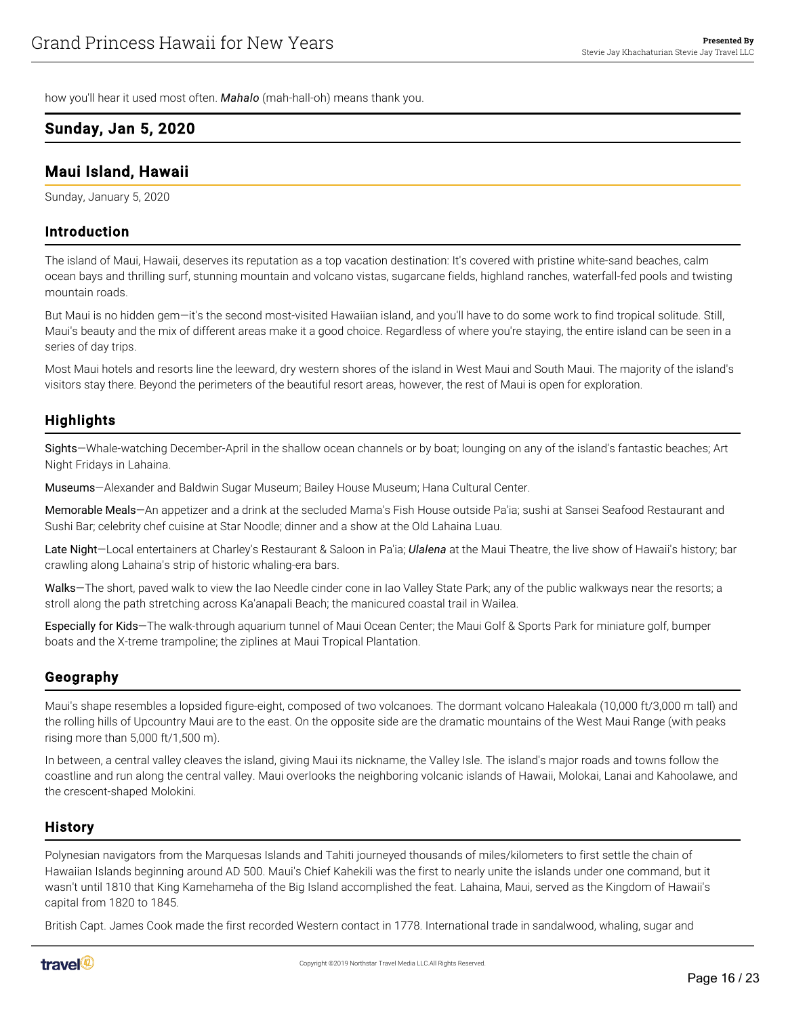how you'll hear it used most often. *Mahalo* (mah-hall-oh) means thank you.

#### <span id="page-15-0"></span>Sunday, Jan 5, 2020

#### <span id="page-15-1"></span>Maui Island, Hawaii

Sunday, January 5, 2020

#### Introduction

The island of Maui, Hawaii, deserves its reputation as a top vacation destination: It's covered with pristine white-sand beaches, calm ocean bays and thrilling surf, stunning mountain and volcano vistas, sugarcane fields, highland ranches, waterfall-fed pools and twisting mountain roads.

But Maui is no hidden gem—it's the second most-visited Hawaiian island, and you'll have to do some work to find tropical solitude. Still, Maui's beauty and the mix of different areas make it a good choice. Regardless of where you're staying, the entire island can be seen in a series of day trips.

Most Maui hotels and resorts line the leeward, dry western shores of the island in West Maui and South Maui. The majority of the island's visitors stay there. Beyond the perimeters of the beautiful resort areas, however, the rest of Maui is open for exploration.

#### **Highlights**

Sights—Whale-watching December-April in the shallow ocean channels or by boat; lounging on any of the island's fantastic beaches; Art Night Fridays in Lahaina.

Museums—Alexander and Baldwin Sugar Museum; Bailey House Museum; Hana Cultural Center.

Memorable Meals—An appetizer and a drink at the secluded Mama's Fish House outside Pa'ia; sushi at Sansei Seafood Restaurant and Sushi Bar; celebrity chef cuisine at Star Noodle; dinner and a show at the Old Lahaina Luau.

Late Night—Local entertainers at Charley's Restaurant & Saloon in Pa'ia; *Ulalena* at the Maui Theatre, the live show of Hawaii's history; bar crawling along Lahaina's strip of historic whaling-era bars.

Walks—The short, paved walk to view the Iao Needle cinder cone in Iao Valley State Park; any of the public walkways near the resorts; a stroll along the path stretching across Ka'anapali Beach; the manicured coastal trail in Wailea.

Especially for Kids—The walk-through aquarium tunnel of Maui Ocean Center; the Maui Golf & Sports Park for miniature golf, bumper boats and the X-treme trampoline; the ziplines at Maui Tropical Plantation.

#### Geography

Maui's shape resembles a lopsided figure-eight, composed of two volcanoes. The dormant volcano Haleakala (10,000 ft/3,000 m tall) and the rolling hills of Upcountry Maui are to the east. On the opposite side are the dramatic mountains of the West Maui Range (with peaks rising more than 5,000 ft/1,500 m).

In between, a central valley cleaves the island, giving Maui its nickname, the Valley Isle. The island's major roads and towns follow the coastline and run along the central valley. Maui overlooks the neighboring volcanic islands of Hawaii, Molokai, Lanai and Kahoolawe, and the crescent-shaped Molokini.

#### **History**

Polynesian navigators from the Marquesas Islands and Tahiti journeyed thousands of miles/kilometers to first settle the chain of Hawaiian Islands beginning around AD 500. Maui's Chief Kahekili was the first to nearly unite the islands under one command, but it wasn't until 1810 that King Kamehameha of the Big Island accomplished the feat. Lahaina, Maui, served as the Kingdom of Hawaii's capital from 1820 to 1845.

British Capt. James Cook made the first recorded Western contact in 1778. International trade in sandalwood, whaling, sugar and

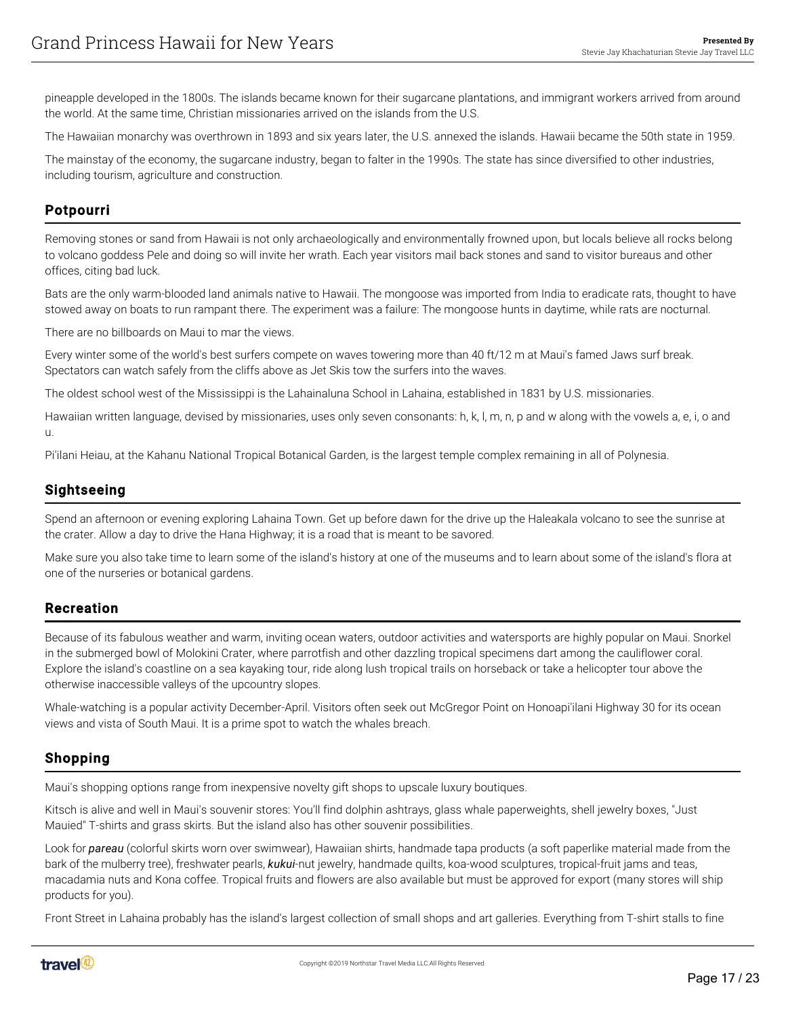pineapple developed in the 1800s. The islands became known for their sugarcane plantations, and immigrant workers arrived from around the world. At the same time, Christian missionaries arrived on the islands from the U.S.

The Hawaiian monarchy was overthrown in 1893 and six years later, the U.S. annexed the islands. Hawaii became the 50th state in 1959.

The mainstay of the economy, the sugarcane industry, began to falter in the 1990s. The state has since diversified to other industries, including tourism, agriculture and construction.

## Potpourri

Removing stones or sand from Hawaii is not only archaeologically and environmentally frowned upon, but locals believe all rocks belong to volcano goddess Pele and doing so will invite her wrath. Each year visitors mail back stones and sand to visitor bureaus and other offices, citing bad luck.

Bats are the only warm-blooded land animals native to Hawaii. The mongoose was imported from India to eradicate rats, thought to have stowed away on boats to run rampant there. The experiment was a failure: The mongoose hunts in daytime, while rats are nocturnal.

There are no billboards on Maui to mar the views.

Every winter some of the world's best surfers compete on waves towering more than 40 ft/12 m at Maui's famed Jaws surf break. Spectators can watch safely from the cliffs above as Jet Skis tow the surfers into the waves.

The oldest school west of the Mississippi is the Lahainaluna School in Lahaina, established in 1831 by U.S. missionaries.

Hawaiian written language, devised by missionaries, uses only seven consonants: h, k, l, m, n, p and w along with the vowels a, e, i, o and u.

Pi'ilani Heiau, at the Kahanu National Tropical Botanical Garden, is the largest temple complex remaining in all of Polynesia.

#### Sightseeing

Spend an afternoon or evening exploring Lahaina Town. Get up before dawn for the drive up the Haleakala volcano to see the sunrise at the crater. Allow a day to drive the Hana Highway; it is a road that is meant to be savored.

Make sure you also take time to learn some of the island's history at one of the museums and to learn about some of the island's flora at one of the nurseries or botanical gardens.

#### Recreation

Because of its fabulous weather and warm, inviting ocean waters, outdoor activities and watersports are highly popular on Maui. Snorkel in the submerged bowl of Molokini Crater, where parrotfish and other dazzling tropical specimens dart among the cauliflower coral. Explore the island's coastline on a sea kayaking tour, ride along lush tropical trails on horseback or take a helicopter tour above the otherwise inaccessible valleys of the upcountry slopes.

Whale-watching is a popular activity December-April. Visitors often seek out McGregor Point on Honoapi'ilani Highway 30 for its ocean views and vista of South Maui. It is a prime spot to watch the whales breach.

#### Shopping

Maui's shopping options range from inexpensive novelty gift shops to upscale luxury boutiques.

Kitsch is alive and well in Maui's souvenir stores: You'll find dolphin ashtrays, glass whale paperweights, shell jewelry boxes, "Just Mauied" T-shirts and grass skirts. But the island also has other souvenir possibilities.

Look for *pareau* (colorful skirts worn over swimwear), Hawaiian shirts, handmade tapa products (a soft paperlike material made from the bark of the mulberry tree), freshwater pearls, *kukui*-nut jewelry, handmade quilts, koa-wood sculptures, tropical-fruit jams and teas, macadamia nuts and Kona coffee. Tropical fruits and flowers are also available but must be approved for export (many stores will ship products for you).

Front Street in Lahaina probably has the island's largest collection of small shops and art galleries. Everything from T-shirt stalls to fine

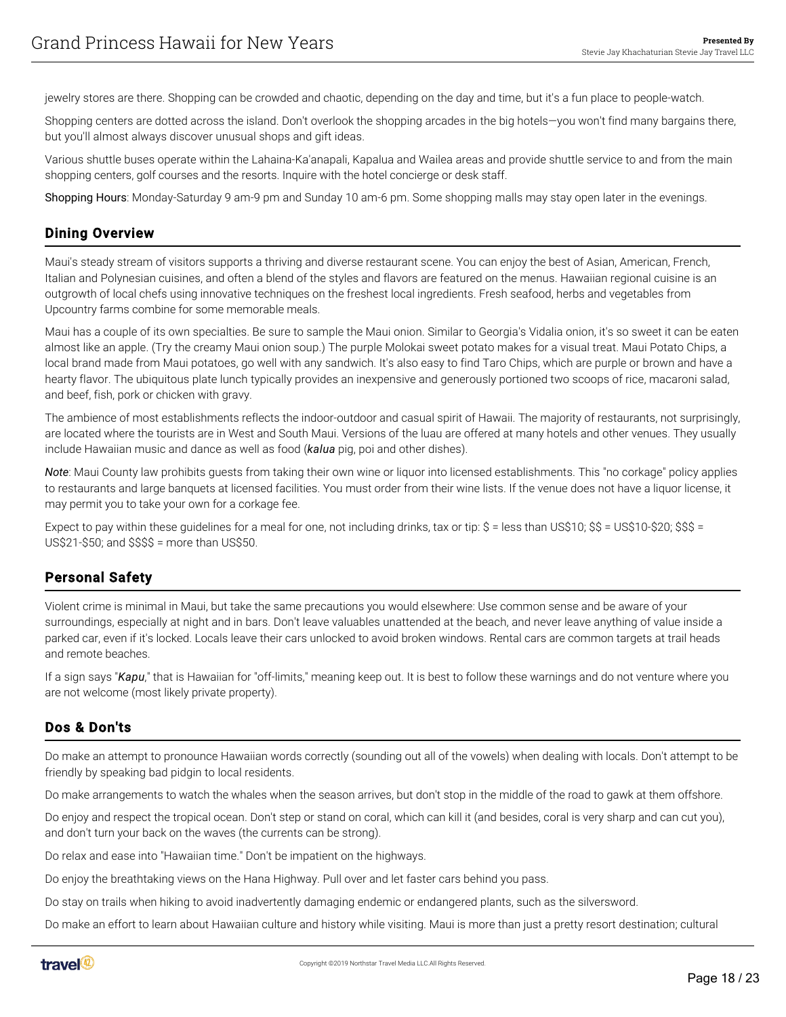jewelry stores are there. Shopping can be crowded and chaotic, depending on the day and time, but it's a fun place to people-watch.

Shopping centers are dotted across the island. Don't overlook the shopping arcades in the big hotels—you won't find many bargains there, but you'll almost always discover unusual shops and gift ideas.

Various shuttle buses operate within the Lahaina-Ka'anapali, Kapalua and Wailea areas and provide shuttle service to and from the main shopping centers, golf courses and the resorts. Inquire with the hotel concierge or desk staff.

Shopping Hours: Monday-Saturday 9 am-9 pm and Sunday 10 am-6 pm. Some shopping malls may stay open later in the evenings.

#### Dining Overview

Maui's steady stream of visitors supports a thriving and diverse restaurant scene. You can enjoy the best of Asian, American, French, Italian and Polynesian cuisines, and often a blend of the styles and flavors are featured on the menus. Hawaiian regional cuisine is an outgrowth of local chefs using innovative techniques on the freshest local ingredients. Fresh seafood, herbs and vegetables from Upcountry farms combine for some memorable meals.

Maui has a couple of its own specialties. Be sure to sample the Maui onion. Similar to Georgia's Vidalia onion, it's so sweet it can be eaten almost like an apple. (Try the creamy Maui onion soup.) The purple Molokai sweet potato makes for a visual treat. Maui Potato Chips, a local brand made from Maui potatoes, go well with any sandwich. It's also easy to find Taro Chips, which are purple or brown and have a hearty flavor. The ubiquitous plate lunch typically provides an inexpensive and generously portioned two scoops of rice, macaroni salad, and beef, fish, pork or chicken with gravy.

The ambience of most establishments reflects the indoor-outdoor and casual spirit of Hawaii. The majority of restaurants, not surprisingly, are located where the tourists are in West and South Maui. Versions of the luau are offered at many hotels and other venues. They usually include Hawaiian music and dance as well as food (*kalua* pig, poi and other dishes).

*Note*: Maui County law prohibits guests from taking their own wine or liquor into licensed establishments. This "no corkage" policy applies to restaurants and large banquets at licensed facilities. You must order from their wine lists. If the venue does not have a liquor license, it may permit you to take your own for a corkage fee.

Expect to pay within these guidelines for a meal for one, not including drinks, tax or tip: \$ = less than US\$10; \$\$ = US\$10-\$20; \$\$\$ = US\$21-\$50; and \$\$\$\$ = more than US\$50.

#### Personal Safety

Violent crime is minimal in Maui, but take the same precautions you would elsewhere: Use common sense and be aware of your surroundings, especially at night and in bars. Don't leave valuables unattended at the beach, and never leave anything of value inside a parked car, even if it's locked. Locals leave their cars unlocked to avoid broken windows. Rental cars are common targets at trail heads and remote beaches.

If a sign says "*Kapu*," that is Hawaiian for "off-limits," meaning keep out. It is best to follow these warnings and do not venture where you are not welcome (most likely private property).

#### Dos & Don'ts

Do make an attempt to pronounce Hawaiian words correctly (sounding out all of the vowels) when dealing with locals. Don't attempt to be friendly by speaking bad pidgin to local residents.

Do make arrangements to watch the whales when the season arrives, but don't stop in the middle of the road to gawk at them offshore.

Do enjoy and respect the tropical ocean. Don't step or stand on coral, which can kill it (and besides, coral is very sharp and can cut you), and don't turn your back on the waves (the currents can be strong).

Do relax and ease into "Hawaiian time." Don't be impatient on the highways.

Do enjoy the breathtaking views on the Hana Highway. Pull over and let faster cars behind you pass.

Do stay on trails when hiking to avoid inadvertently damaging endemic or endangered plants, such as the silversword.

Do make an effort to learn about Hawaiian culture and history while visiting. Maui is more than just a pretty resort destination; cultural

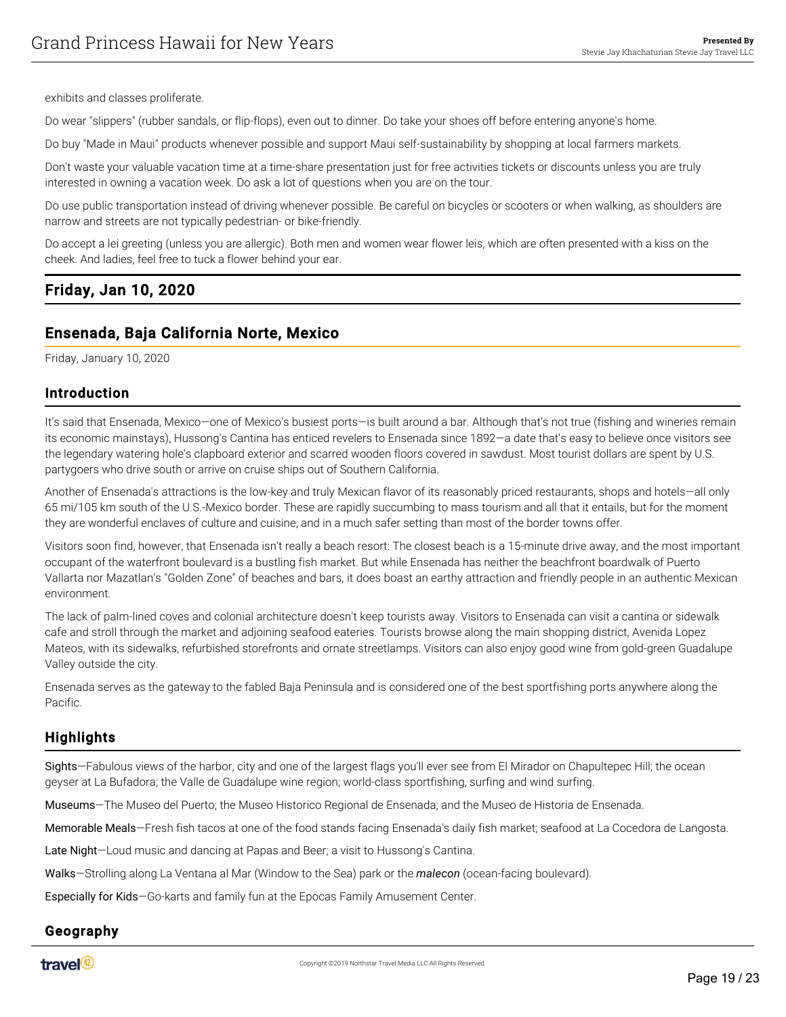exhibits and classes proliferate.

Do wear "slippers" (rubber sandals, or flip-flops), even out to dinner. Do take your shoes off before entering anyone's home.

Do buy "Made in Maui" products whenever possible and support Maui self-sustainability by shopping at local farmers markets.

Don't waste your valuable vacation time at a time-share presentation just for free activities tickets or discounts unless you are truly interested in owning a vacation week. Do ask a lot of questions when you are on the tour.

Do use public transportation instead of driving whenever possible. Be careful on bicycles or scooters or when walking, as shoulders are narrow and streets are not typically pedestrian- or bike-friendly.

Do accept a lei greeting (unless you are allergic). Both men and women wear flower leis, which are often presented with a kiss on the cheek. And ladies, feel free to tuck a flower behind your ear.

# <span id="page-18-0"></span>Friday, Jan 10, 2020

# <span id="page-18-1"></span>Ensenada, Baja California Norte, Mexico

Friday, January 10, 2020

#### Introduction

It's said that Ensenada, Mexico—one of Mexico's busiest ports—is built around a bar. Although that's not true (fishing and wineries remain its economic mainstays), Hussong's Cantina has enticed revelers to Ensenada since 1892—a date that's easy to believe once visitors see the legendary watering hole's clapboard exterior and scarred wooden floors covered in sawdust. Most tourist dollars are spent by U.S. partygoers who drive south or arrive on cruise ships out of Southern California.

Another of Ensenada's attractions is the low-key and truly Mexican flavor of its reasonably priced restaurants, shops and hotels—all only 65 mi/105 km south of the U.S.-Mexico border. These are rapidly succumbing to mass tourism and all that it entails, but for the moment they are wonderful enclaves of culture and cuisine, and in a much safer setting than most of the border towns offer.

Visitors soon find, however, that Ensenada isn't really a beach resort: The closest beach is a 15-minute drive away, and the most important occupant of the waterfront boulevard is a bustling fish market. But while Ensenada has neither the beachfront boardwalk of Puerto Vallarta nor Mazatlan's "Golden Zone" of beaches and bars, it does boast an earthy attraction and friendly people in an authentic Mexican environment.

The lack of palm-lined coves and colonial architecture doesn't keep tourists away. Visitors to Ensenada can visit a cantina or sidewalk cafe and stroll through the market and adjoining seafood eateries. Tourists browse along the main shopping district, Avenida Lopez Mateos, with its sidewalks, refurbished storefronts and ornate streetlamps. Visitors can also enjoy good wine from gold-green Guadalupe Valley outside the city.

Ensenada serves as the gateway to the fabled Baja Peninsula and is considered one of the best sportfishing ports anywhere along the Pacific.

## **Highlights**

Sights—Fabulous views of the harbor, city and one of the largest flags you'll ever see from El Mirador on Chapultepec Hill; the ocean geyser at La Bufadora; the Valle de Guadalupe wine region; world-class sportfishing, surfing and wind surfing.

Museums—The Museo del Puerto; the Museo Historico Regional de Ensenada; and the Museo de Historia de Ensenada.

Memorable Meals—Fresh fish tacos at one of the food stands facing Ensenada's daily fish market; seafood at La Cocedora de Langosta.

Late Night-Loud music and dancing at Papas and Beer; a visit to Hussong's Cantina.

Walks—Strolling along La Ventana al Mar (Window to the Sea) park or the *malecon* (ocean-facing boulevard).

Especially for Kids—Go-karts and family fun at the Epocas Family Amusement Center.

# Geography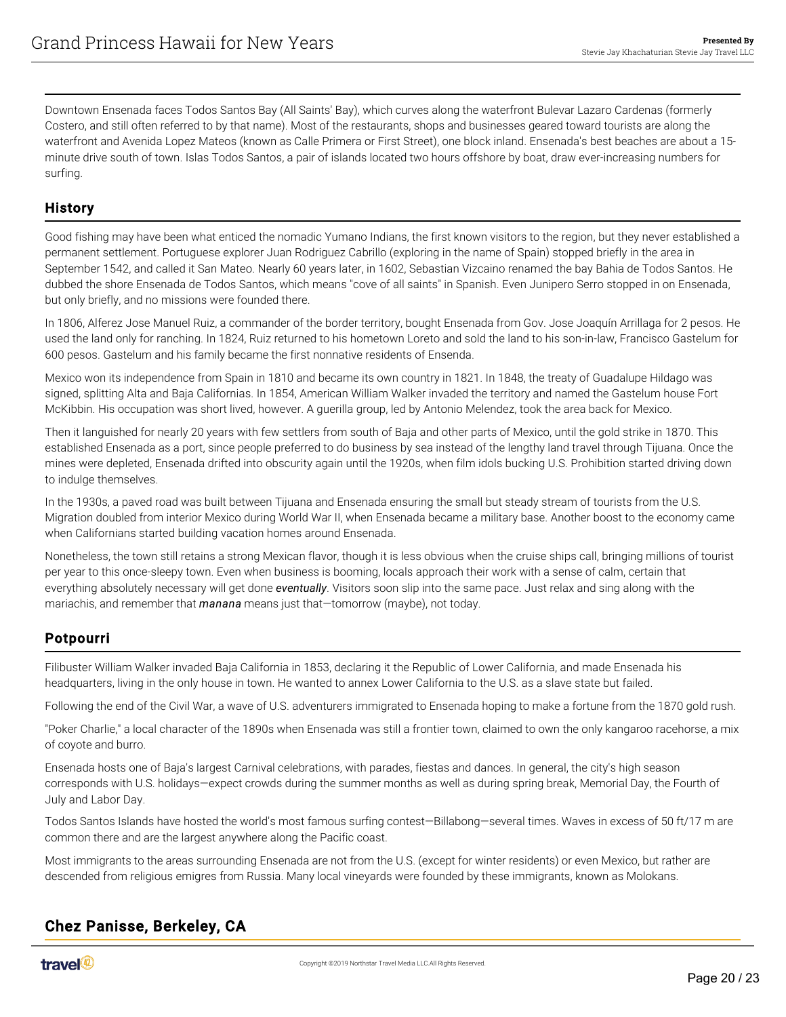Downtown Ensenada faces Todos Santos Bay (All Saints' Bay), which curves along the waterfront Bulevar Lazaro Cardenas (formerly Costero, and still often referred to by that name). Most of the restaurants, shops and businesses geared toward tourists are along the waterfront and Avenida Lopez Mateos (known as Calle Primera or First Street), one block inland. Ensenada's best beaches are about a 15 minute drive south of town. Islas Todos Santos, a pair of islands located two hours offshore by boat, draw ever-increasing numbers for surfing.

#### History

Good fishing may have been what enticed the nomadic Yumano Indians, the first known visitors to the region, but they never established a permanent settlement. Portuguese explorer Juan Rodriguez Cabrillo (exploring in the name of Spain) stopped briefly in the area in September 1542, and called it San Mateo. Nearly 60 years later, in 1602, Sebastian Vizcaino renamed the bay Bahia de Todos Santos. He dubbed the shore Ensenada de Todos Santos, which means "cove of all saints" in Spanish. Even Junipero Serro stopped in on Ensenada, but only briefly, and no missions were founded there.

In 1806, Alferez Jose Manuel Ruiz, a commander of the border territory, bought Ensenada from Gov. Jose Joaquín Arrillaga for 2 pesos. He used the land only for ranching. In 1824, Ruiz returned to his hometown Loreto and sold the land to his son-in-law, Francisco Gastelum for 600 pesos. Gastelum and his family became the first nonnative residents of Ensenda.

Mexico won its independence from Spain in 1810 and became its own country in 1821. In 1848, the treaty of Guadalupe Hildago was signed, splitting Alta and Baja Californias. In 1854, American William Walker invaded the territory and named the Gastelum house Fort McKibbin. His occupation was short lived, however. A guerilla group, led by Antonio Melendez, took the area back for Mexico.

Then it languished for nearly 20 years with few settlers from south of Baja and other parts of Mexico, until the gold strike in 1870. This established Ensenada as a port, since people preferred to do business by sea instead of the lengthy land travel through Tijuana. Once the mines were depleted, Ensenada drifted into obscurity again until the 1920s, when film idols bucking U.S. Prohibition started driving down to indulge themselves.

In the 1930s, a paved road was built between Tijuana and Ensenada ensuring the small but steady stream of tourists from the U.S. Migration doubled from interior Mexico during World War II, when Ensenada became a military base. Another boost to the economy came when Californians started building vacation homes around Ensenada.

Nonetheless, the town still retains a strong Mexican flavor, though it is less obvious when the cruise ships call, bringing millions of tourist per year to this once-sleepy town. Even when business is booming, locals approach their work with a sense of calm, certain that everything absolutely necessary will get done *eventually*. Visitors soon slip into the same pace. Just relax and sing along with the mariachis, and remember that *manana* means just that—tomorrow (maybe), not today.

#### Potpourri

Filibuster William Walker invaded Baja California in 1853, declaring it the Republic of Lower California, and made Ensenada his headquarters, living in the only house in town. He wanted to annex Lower California to the U.S. as a slave state but failed.

Following the end of the Civil War, a wave of U.S. adventurers immigrated to Ensenada hoping to make a fortune from the 1870 gold rush.

"Poker Charlie," a local character of the 1890s when Ensenada was still a frontier town, claimed to own the only kangaroo racehorse, a mix of coyote and burro.

Ensenada hosts one of Baja's largest Carnival celebrations, with parades, fiestas and dances. In general, the city's high season corresponds with U.S. holidays—expect crowds during the summer months as well as during spring break, Memorial Day, the Fourth of July and Labor Day.

Todos Santos Islands have hosted the world's most famous surfing contest—Billabong—several times. Waves in excess of 50 ft/17 m are common there and are the largest anywhere along the Pacific coast.

Most immigrants to the areas surrounding Ensenada are not from the U.S. (except for winter residents) or even Mexico, but rather are descended from religious emigres from Russia. Many local vineyards were founded by these immigrants, known as Molokans.

## <span id="page-19-1"></span><span id="page-19-0"></span>Chez Panisse, Berkeley, CA

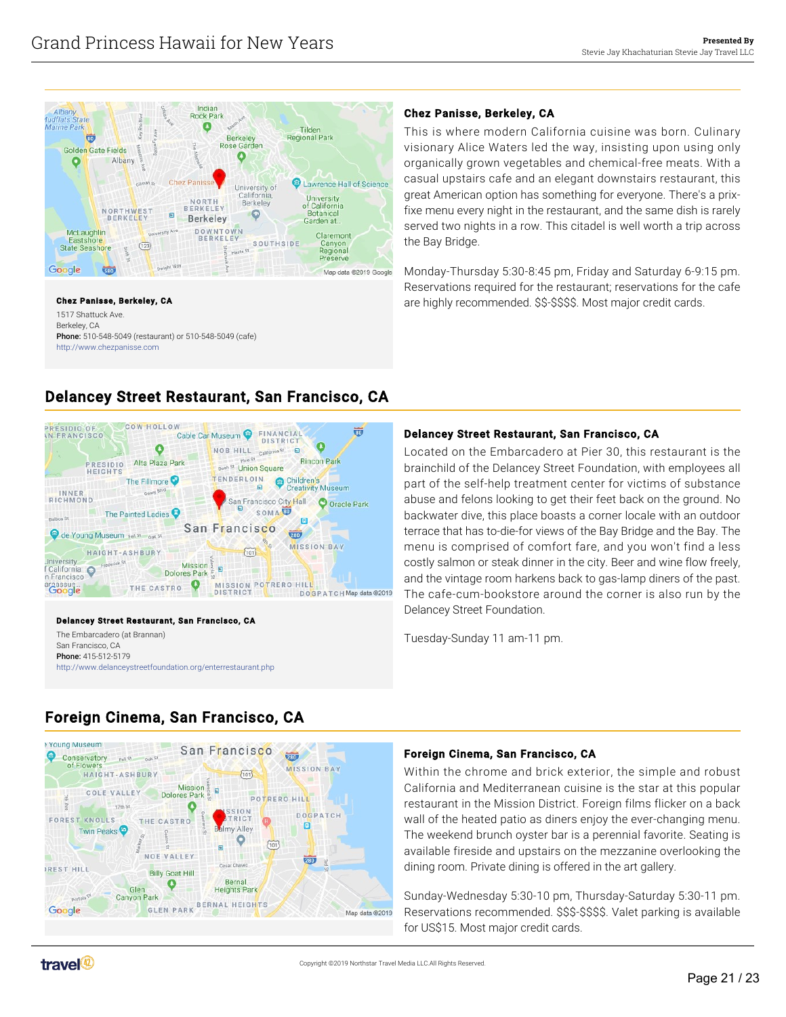

#### Chez Panisse, Berkeley, CA

1517 Shattuck Ave. Berkeley, CA Phone: 510-548-5049 (restaurant) or 510-548-5049 (cafe) <http://www.chezpanisse.com>

#### Monday-Thursday 5:30-8:45 pm, Friday and Saturday 6-9:15 pm. Reservations required for the restaurant; reservations for the cafe

#### Delancey Street Restaurant, San Francisco, CA

are highly recommended. \$\$-\$\$\$\$. Most major credit cards.

Located on the Embarcadero at Pier 30, this restaurant is the brainchild of the Delancey Street Foundation, with employees all part of the self-help treatment center for victims of substance abuse and felons looking to get their feet back on the ground. No backwater dive, this place boasts a corner locale with an outdoor terrace that has to-die-for views of the Bay Bridge and the Bay. The menu is comprised of comfort fare, and you won't find a less costly salmon or steak dinner in the city. Beer and wine flow freely, and the vintage room harkens back to gas-lamp diners of the past. The cafe-cum-bookstore around the corner is also run by the Delancey Street Foundation.

This is where modern California cuisine was born. Culinary visionary Alice Waters led the way, insisting upon using only organically grown vegetables and chemical-free meats. With a casual upstairs cafe and an elegant downstairs restaurant, this great American option has something for everyone. There's a prixfixe menu every night in the restaurant, and the same dish is rarely served two nights in a row. This citadel is well worth a trip across

Tuesday-Sunday 11 am-11 pm.

Chez Panisse, Berkeley, CA

the Bay Bridge.

# <span id="page-20-0"></span>Delancey Street Restaurant, San Francisco, CA



#### Delancey Street Restaurant, San Francisco, CA

The Embarcadero (at Brannan) San Francisco, CA Phone: 415-512-5179 <http://www.delanceystreetfoundation.org/enterrestaurant.php>

# <span id="page-20-1"></span>Foreign Cinema, San Francisco, CA



#### Foreign Cinema, San Francisco, CA

Within the chrome and brick exterior, the simple and robust California and Mediterranean cuisine is the star at this popular restaurant in the Mission District. Foreign films flicker on a back wall of the heated patio as diners enjoy the ever-changing menu. The weekend brunch oyster bar is a perennial favorite. Seating is available fireside and upstairs on the mezzanine overlooking the dining room. Private dining is offered in the art gallery.

Sunday-Wednesday 5:30-10 pm, Thursday-Saturday 5:30-11 pm. Reservations recommended. \$\$\$-\$\$\$\$. Valet parking is available for US\$15. Most major credit cards.

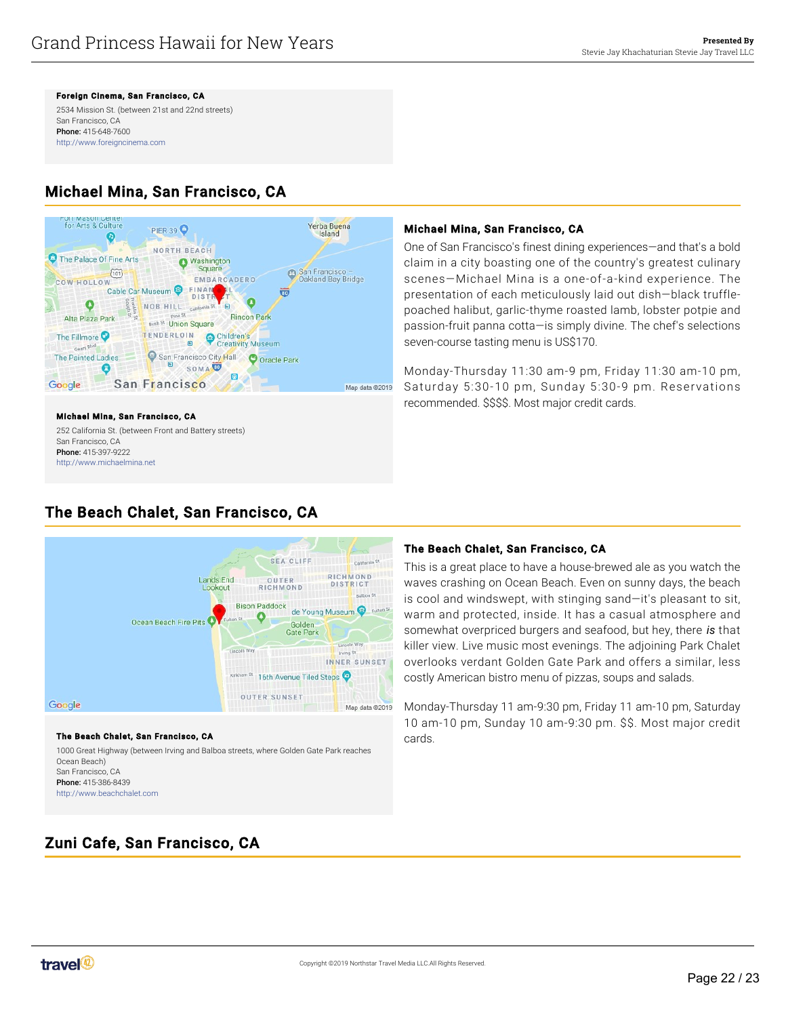Foreign Cinema, San Francisco, CA

2534 Mission St. (between 21st and 22nd streets) San Francisco, CA Phone: 415-648-7600 <http://www.foreigncinema.com>

# <span id="page-21-0"></span>Michael Mina, San Francisco, CA



#### Michael Mina, San Francisco, CA 252 California St. (between Front and Battery streets) San Francisco, CA Phone: 415-397-9222

<http://www.michaelmina.net>

# Michael Mina, San Francisco, CA

One of San Francisco's finest dining experiences—and that's a bold claim in a city boasting one of the country's greatest culinary scenes—Michael Mina is a one-of-a-kind experience. The presentation of each meticulously laid out dish—black trufflepoached halibut, garlic-thyme roasted lamb, lobster potpie and passion-fruit panna cotta—is simply divine. The chef's selections seven-course tasting menu is US\$170.

Monday-Thursday 11:30 am-9 pm, Friday 11:30 am-10 pm, Saturday 5:30-10 pm, Sunday 5:30-9 pm. Reservations recommended. \$\$\$\$. Most major credit cards.

# <span id="page-21-1"></span>The Beach Chalet, San Francisco, CA



#### The Beach Chalet, San Francisco, CA

1000 Great Highway (between Irving and Balboa streets, where Golden Gate Park reaches Ocean Beach) San Francisco, CA Phone: 415-386-8439 <http://www.beachchalet.com>

#### The Beach Chalet, San Francisco, CA

This is a great place to have a house-brewed ale as you watch the waves crashing on Ocean Beach. Even on sunny days, the beach is cool and windswept, with stinging sand—it's pleasant to sit, warm and protected, inside. It has a casual atmosphere and somewhat overpriced burgers and seafood, but hey, there *is* that killer view. Live music most evenings. The adjoining Park Chalet overlooks verdant Golden Gate Park and offers a similar, less costly American bistro menu of pizzas, soups and salads.

Monday-Thursday 11 am-9:30 pm, Friday 11 am-10 pm, Saturday 10 am-10 pm, Sunday 10 am-9:30 pm. \$\$. Most major credit cards.

# <span id="page-21-2"></span>Zuni Cafe, San Francisco, CA